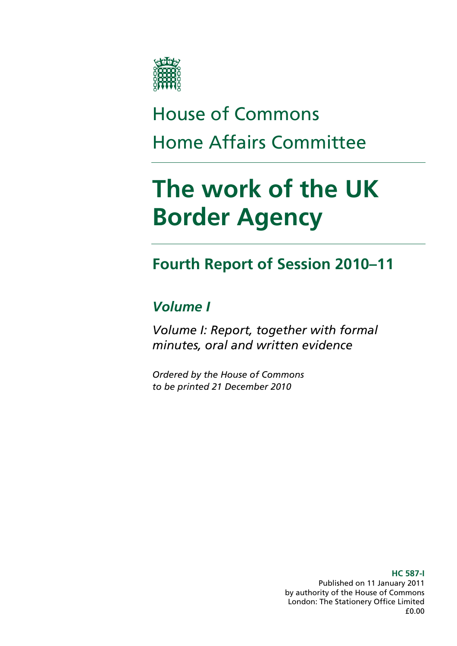

# House of Commons Home Affairs Committee

# **The work of the UK Border Agency**

## **Fourth Report of Session 2010–11**

## *Volume I*

*Volume I: Report, together with formal minutes, oral and written evidence* 

*Ordered by the House of Commons to be printed 21 December 2010* 

> Published on 11 January 2011 by authority of the House of Commons London: The Stationery Office Limited £0.00

### **HC 587-I**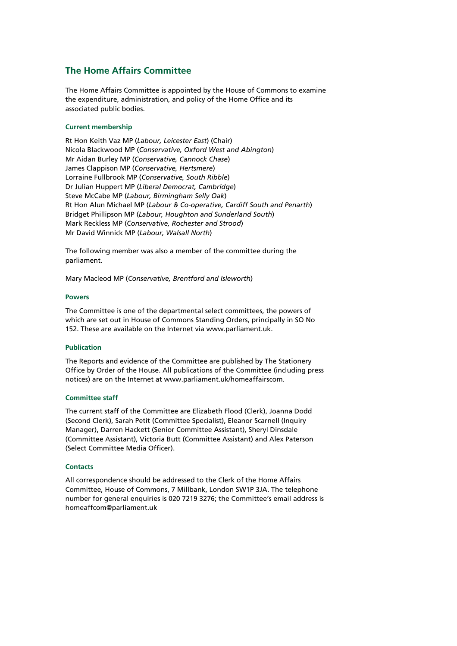## **The Home Affairs Committee**

The Home Affairs Committee is appointed by the House of Commons to examine the expenditure, administration, and policy of the Home Office and its associated public bodies.

#### **Current membership**

Rt Hon Keith Vaz MP (*Labour, Leicester East*) (Chair) Nicola Blackwood MP (*Conservative, Oxford West and Abington*) Mr Aidan Burley MP (*Conservative, Cannock Chase*) James Clappison MP (*Conservative, Hertsmere*) Lorraine Fullbrook MP (*Conservative, South Ribble*) Dr Julian Huppert MP (*Liberal Democrat, Cambridge*) Steve McCabe MP (*Labour, Birmingham Selly Oak*) Rt Hon Alun Michael MP (*Labour & Co-operative, Cardiff South and Penarth*) Bridget Phillipson MP (*Labour, Houghton and Sunderland South*) Mark Reckless MP (*Conservative, Rochester and Strood*) Mr David Winnick MP (*Labour, Walsall North*)

The following member was also a member of the committee during the parliament.

Mary Macleod MP (*Conservative, Brentford and Isleworth*)

#### **Powers**

The Committee is one of the departmental select committees, the powers of which are set out in House of Commons Standing Orders, principally in SO No 152. These are available on the Internet via [www.parliament.uk.](http://www.parliament.uk/)

#### **Publication**

The Reports and evidence of the Committee are published by The Stationery Office by Order of the House. All publications of the Committee (including press notices) are on the Internet at [www.parliament.uk/homeaffairscom](http://www.parliament.uk/homeaffairscom).

#### **Committee staff**

The current staff of the Committee are Elizabeth Flood (Clerk), Joanna Dodd (Second Clerk), Sarah Petit (Committee Specialist), Eleanor Scarnell (Inquiry Manager), Darren Hackett (Senior Committee Assistant), Sheryl Dinsdale (Committee Assistant), Victoria Butt (Committee Assistant) and Alex Paterson (Select Committee Media Officer).

#### **Contacts**

All correspondence should be addressed to the Clerk of the Home Affairs Committee, House of Commons, 7 Millbank, London SW1P 3JA. The telephone number for general enquiries is 020 7219 3276; the Committee's email address is [homeaffcom@parliament.uk](mailto:homeaffcom@parliament.uk)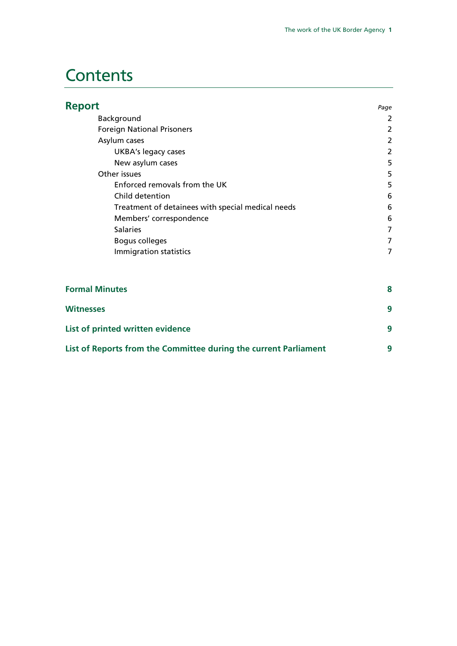## **Contents**

| <b>Report</b>                                                    | Page           |
|------------------------------------------------------------------|----------------|
| Background                                                       | 2              |
| <b>Foreign National Prisoners</b>                                | 2              |
| Asylum cases                                                     | 2              |
| <b>UKBA's legacy cases</b>                                       | $\overline{2}$ |
| New asylum cases                                                 | 5              |
| Other issues                                                     | 5              |
| Enforced removals from the UK                                    | 5              |
| Child detention                                                  | 6              |
| Treatment of detainees with special medical needs                | 6              |
| Members' correspondence                                          | 6              |
| <b>Salaries</b>                                                  | $\overline{7}$ |
| <b>Bogus colleges</b>                                            | 7              |
| Immigration statistics                                           | 7              |
| <b>Formal Minutes</b>                                            | 8              |
| <b>Witnesses</b>                                                 | 9              |
| List of printed written evidence                                 | 9              |
| List of Reports from the Committee during the current Parliament | 9              |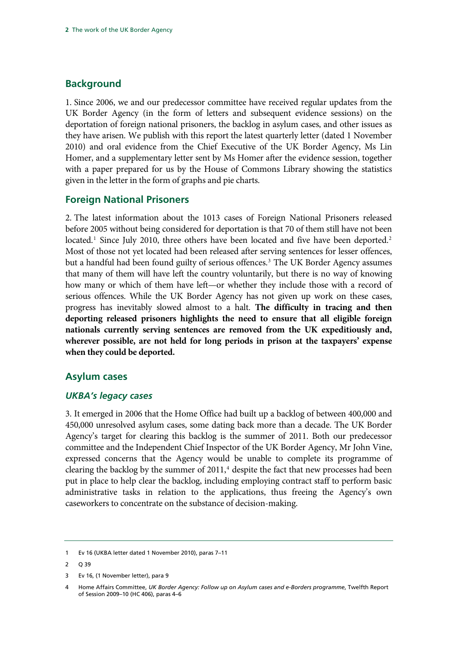## <span id="page-3-0"></span>**Background**

1. Since 2006, we and our predecessor committee have received regular updates from the UK Border Agency (in the form of letters and subsequent evidence sessions) on the deportation of foreign national prisoners, the backlog in asylum cases, and other issues as they have arisen. We publish with this report the latest quarterly letter (dated 1 November 2010) and oral evidence from the Chief Executive of the UK Border Agency, Ms Lin Homer, and a supplementary letter sent by Ms Homer after the evidence session, together with a paper prepared for us by the House of Commons Library showing the statistics given in the letter in the form of graphs and pie charts.

## **Foreign National Prisoners**

2. The latest information about the 1013 cases of Foreign National Prisoners released before 2005 without being considered for deportation is that 70 of them still have not been located.<sup>[1](#page-3-1)</sup> Since July 2010, three others have been located and five have been deported.<sup>2</sup> Most of those not yet located had been released after serving sentences for lesser offences, but a handful had been found guilty of serious offences.<sup>[3](#page-3-3)</sup> The UK Border Agency assumes that many of them will have left the country voluntarily, but there is no way of knowing how many or which of them have left—or whether they include those with a record of serious offences. While the UK Border Agency has not given up work on these cases, progress has inevitably slowed almost to a halt. **The difficulty in tracing and then deporting released prisoners highlights the need to ensure that all eligible foreign nationals currently serving sentences are removed from the UK expeditiously and, wherever possible, are not held for long periods in prison at the taxpayers' expense when they could be deported.** 

## **Asylum cases**

## *UKBA's legacy cases*

3. It emerged in 2006 that the Home Office had built up a backlog of between 400,000 and 450,000 unresolved asylum cases, some dating back more than a decade. The UK Border Agency's target for clearing this backlog is the summer of 2011. Both our predecessor committee and the Independent Chief Inspector of the UK Border Agency, Mr John Vine, expressed concerns that the Agency would be unable to complete its programme of clearing the backlog by the summer of  $2011$ ,<sup>[4](#page-3-4)</sup> despite the fact that new processes had been put in place to help clear the backlog, including employing contract staff to perform basic administrative tasks in relation to the applications, thus freeing the Agency's own caseworkers to concentrate on the substance of decision-making.

<span id="page-3-1"></span><sup>1</sup> Ev 16 (UKBA letter dated 1 November 2010), paras 7–11

<span id="page-3-2"></span><sup>2</sup> Q 39

<span id="page-3-3"></span><sup>3</sup> Ev 16, (1 November letter), para 9

<span id="page-3-4"></span><sup>4</sup> Home Affairs Committee, *UK Border Agency: Follow up on Asylum cases and e-Borders programme*, Twelfth Report of Session 2009–10 (HC 406), paras 4–6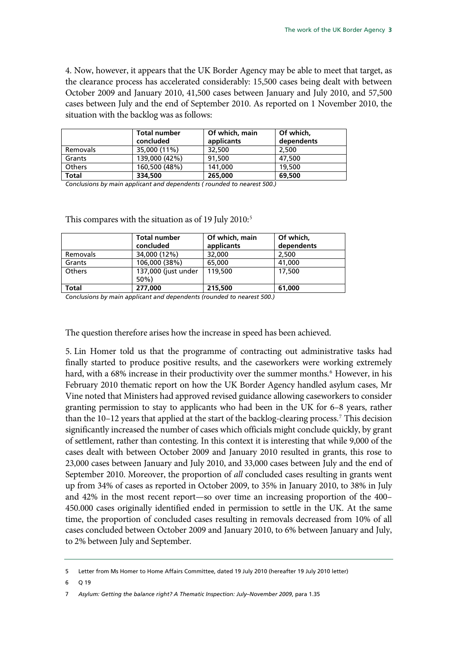4. Now, however, it appears that the UK Border Agency may be able to meet that target, as the clearance process has accelerated considerably: 15,500 cases being dealt with between October 2009 and January 2010, 41,500 cases between January and July 2010, and 57,500 cases between July and the end of September 2010. As reported on 1 November 2010, the situation with the backlog was as follows:

|               | <b>Total number</b><br>concluded | Of which, main<br>applicants | Of which,<br>dependents |
|---------------|----------------------------------|------------------------------|-------------------------|
| Removals      | 35,000 (11%)                     | 32,500                       | 2,500                   |
| Grants        | 139,000 (42%)                    | 91,500                       | 47,500                  |
| <b>Others</b> | 160,500 (48%)                    | 141.000                      | 19,500                  |
| <b>Total</b>  | 334,500                          | 265,000                      | 69,500                  |

*Conclusions by main applicant and dependents ( rounded to nearest 500.)* 

|               | <b>Total number</b><br>concluded | Of which, main<br>applicants | Of which,<br>dependents |
|---------------|----------------------------------|------------------------------|-------------------------|
| Removals      | 34,000 (12%)                     | 32,000                       | 2,500                   |
| Grants        | 106,000 (38%)                    | 65,000                       | 41,000                  |
| <b>Others</b> | 137,000 (just under<br>$50\%$    | 119,500                      | 17,500                  |
| <b>Total</b>  | 277,000                          | 215,500                      | 61,000                  |

This compares with the situation as of 19 July 2010:<sup>[5](#page-4-0)</sup>

*Conclusions by main applicant and dependents (rounded to nearest 500.)* 

The question therefore arises how the increase in speed has been achieved.

5. Lin Homer told us that the programme of contracting out administrative tasks had finally started to produce positive results, and the caseworkers were working extremely hard, with a [6](#page-4-1)8% increase in their productivity over the summer months.<sup>6</sup> However, in his February 2010 thematic report on how the UK Border Agency handled asylum cases, Mr Vine noted that Ministers had approved revised guidance allowing caseworkers to consider granting permission to stay to applicants who had been in the UK for 6–8 years, rather than the 10-12 years that applied at the start of the backlog-clearing process.<sup>[7](#page-4-2)</sup> This decision significantly increased the number of cases which officials might conclude quickly, by grant of settlement, rather than contesting. In this context it is interesting that while 9,000 of the cases dealt with between October 2009 and January 2010 resulted in grants, this rose to 23,000 cases between January and July 2010, and 33,000 cases between July and the end of September 2010. Moreover, the proportion of *all* concluded cases resulting in grants went up from 34% of cases as reported in October 2009, to 35% in January 2010, to 38% in July and 42% in the most recent report—so over time an increasing proportion of the 400– 450.000 cases originally identified ended in permission to settle in the UK. At the same time, the proportion of concluded cases resulting in removals decreased from 10% of all cases concluded between October 2009 and January 2010, to 6% between January and July, to 2% between July and September.

<span id="page-4-0"></span><sup>5</sup> Letter from Ms Homer to Home Affairs Committee, dated 19 July 2010 (hereafter 19 July 2010 letter)

<span id="page-4-1"></span><sup>6</sup> Q 19

<span id="page-4-2"></span><sup>7</sup> *Asylum: Getting the balance right? A Thematic Inspection: July–November 2009*, para 1.35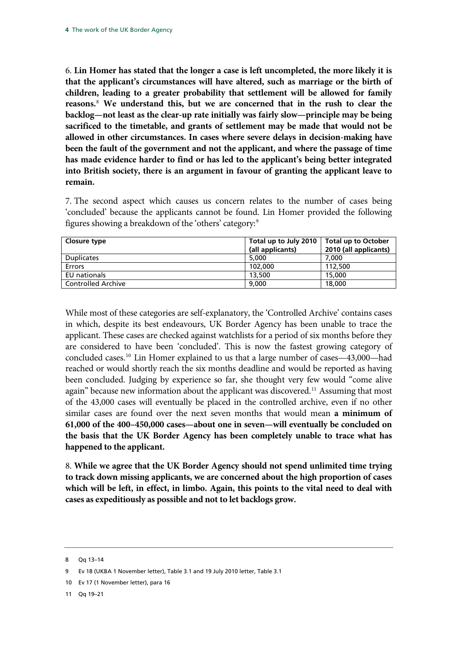6. **Lin Homer has stated that the longer a case is left uncompleted, the more likely it is that the applicant's circumstances will have altered, such as marriage or the birth of children, leading to a greater probability that settlement will be allowed for family reasons.**[8](#page-5-0)  **We understand this, but we are concerned that in the rush to clear the backlog—not least as the clear-up rate initially was fairly slow—principle may be being sacrificed to the timetable, and grants of settlement may be made that would not be allowed in other circumstances. In cases where severe delays in decision-making have been the fault of the government and not the applicant, and where the passage of time has made evidence harder to find or has led to the applicant's being better integrated into British society, there is an argument in favour of granting the applicant leave to remain.** 

7. The second aspect which causes us concern relates to the number of cases being 'concluded' because the applicants cannot be found. Lin Homer provided the following figures showing a breakdown of the 'others' category:<sup>[9](#page-5-1)</sup>

| Closure type              | Total up to July 2010<br><b>Total up to October</b> |                       |
|---------------------------|-----------------------------------------------------|-----------------------|
|                           | (all applicants)                                    | 2010 (all applicants) |
| <b>Duplicates</b>         | 5,000                                               | 7.000                 |
| <b>Errors</b>             | 102,000                                             | 112,500               |
| EU nationals              | 13,500                                              | 15,000                |
| <b>Controlled Archive</b> | 9.000                                               | 18,000                |

While most of these categories are self-explanatory, the 'Controlled Archive' contains cases in which, despite its best endeavours, UK Border Agency has been unable to trace the applicant. These cases are checked against watchlists for a period of six months before they are considered to have been 'concluded'. This is now the fastest growing category of concluded cases.[10](#page-5-2) Lin Homer explained to us that a large number of cases—43,000—had reached or would shortly reach the six months deadline and would be reported as having been concluded. Judging by experience so far, she thought very few would "come alive again" because new information about the applicant was discovered.<sup>11</sup> Assuming that most of the 43,000 cases will eventually be placed in the controlled archive, even if no other similar cases are found over the next seven months that would mean **a minimum of 61,000 of the 400–450,000 cases—about one in seven—will eventually be concluded on the basis that the UK Border Agency has been completely unable to trace what has happened to the applicant.**

8. **While we agree that the UK Border Agency should not spend unlimited time trying to track down missing applicants, we are concerned about the high proportion of cases which will be left, in effect, in limbo. Again, this points to the vital need to deal with cases as expeditiously as possible and not to let backlogs grow.** 

<span id="page-5-0"></span><sup>8</sup> Qq 13–14

<span id="page-5-1"></span><sup>9</sup> Ev 18 (UKBA 1 November letter), Table 3.1 and 19 July 2010 letter, Table 3.1

<span id="page-5-2"></span><sup>10</sup> Ev 17 (1 November letter), para 16

<span id="page-5-3"></span><sup>11</sup> Qq 19–21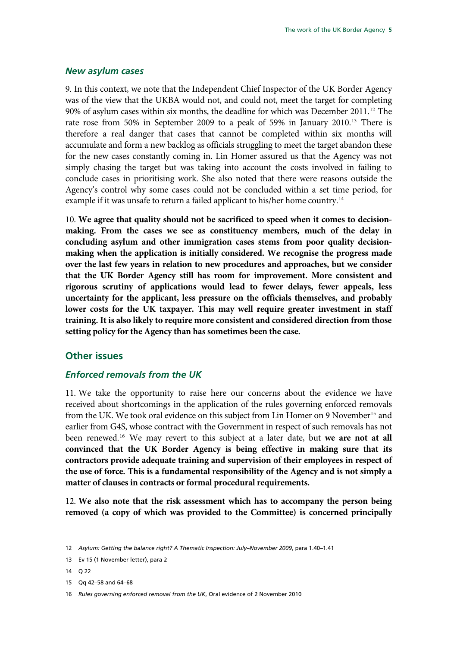### <span id="page-6-0"></span>*New asylum cases*

9. In this context, we note that the Independent Chief Inspector of the UK Border Agency was of the view that the UKBA would not, and could not, meet the target for completing 90% of asylum cases within six months, the deadline for which was December 2011.<sup>[12](#page-6-1)</sup> The rate rose from 50% in September 2009 to a peak of 59% in January 2010.<sup>[13](#page-6-2)</sup> There is therefore a real danger that cases that cannot be completed within six months will accumulate and form a new backlog as officials struggling to meet the target abandon these for the new cases constantly coming in. Lin Homer assured us that the Agency was not simply chasing the target but was taking into account the costs involved in failing to conclude cases in prioritising work. She also noted that there were reasons outside the Agency's control why some cases could not be concluded within a set time period, for example if it was unsafe to return a failed applicant to his/her home country.<sup>[14](#page-6-3)</sup>

10. **We agree that quality should not be sacrificed to speed when it comes to decisionmaking. From the cases we see as constituency members, much of the delay in concluding asylum and other immigration cases stems from poor quality decisionmaking when the application is initially considered. We recognise the progress made over the last few years in relation to new procedures and approaches, but we consider that the UK Border Agency still has room for improvement. More consistent and rigorous scrutiny of applications would lead to fewer delays, fewer appeals, less uncertainty for the applicant, less pressure on the officials themselves, and probably lower costs for the UK taxpayer. This may well require greater investment in staff training. It is also likely to require more consistent and considered direction from those setting policy for the Agency than has sometimes been the case.** 

## **Other issues**

### *Enforced removals from the UK*

11. We take the opportunity to raise here our concerns about the evidence we have received about shortcomings in the application of the rules governing enforced removals from the UK. We took oral evidence on this subject from Lin Homer on 9 November<sup>[15](#page-6-4)</sup> and earlier from G4S, whose contract with the Government in respect of such removals has not been renewed.[16](#page-6-5) We may revert to this subject at a later date, but **we are not at all convinced that the UK Border Agency is being effective in making sure that its contractors provide adequate training and supervision of their employees in respect of the use of force. This is a fundamental responsibility of the Agency and is not simply a matter of clauses in contracts or formal procedural requirements.** 

12. **We also note that the risk assessment which has to accompany the person being removed (a copy of which was provided to the Committee) is concerned principally** 

<span id="page-6-1"></span><sup>12</sup> *Asylum: Getting the balance right? A Thematic Inspection: July–November 2009*, para 1.40–1.41

<span id="page-6-2"></span><sup>13</sup> Ev 15 (1 November letter), para 2

<span id="page-6-3"></span> $14 \quad 0.22$ 

<span id="page-6-4"></span><sup>15</sup> Qq 42–58 and 64–68

<span id="page-6-5"></span><sup>16</sup> *Rules governing enforced removal from the UK*, Oral evidence of 2 November 2010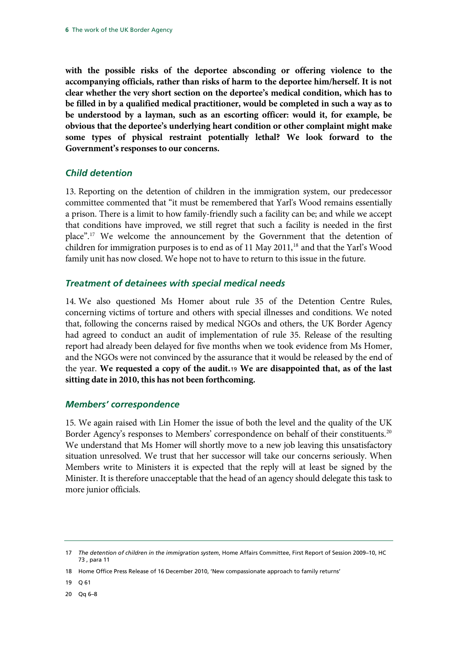<span id="page-7-0"></span>**with the possible risks of the deportee absconding or offering violence to the accompanying officials, rather than risks of harm to the deportee him/herself. It is not clear whether the very short section on the deportee's medical condition, which has to be filled in by a qualified medical practitioner, would be completed in such a way as to be understood by a layman, such as an escorting officer: would it, for example, be obvious that the deportee's underlying heart condition or other complaint might make some types of physical restraint potentially lethal? We look forward to the Government's responses to our concerns.** 

## *Child detention*

13. Reporting on the detention of children in the immigration system, our predecessor committee commented that "it must be remembered that Yarl's Wood remains essentially a prison. There is a limit to how family-friendly such a facility can be; and while we accept that conditions have improved, we still regret that such a facility is needed in the first place".[17](#page-7-1) We welcome the announcement by the Government that the detention of children for immigration purposes is to end as of  $11$  May  $2011$ ,<sup>[18](#page-7-2)</sup> and that the Yarl's Wood family unit has now closed. We hope not to have to return to this issue in the future.

## *Treatment of detainees with special medical needs*

14. We also questioned Ms Homer about rule 35 of the Detention Centre Rules, concerning victims of torture and others with special illnesses and conditions. We noted that, following the concerns raised by medical NGOs and others, the UK Border Agency had agreed to conduct an audit of implementation of rule 35. Release of the resulting report had already been delayed for five months when we took evidence from Ms Homer, and the NGOs were not convinced by the assurance that it would be released by the end of the year. **We requested a copy of the audit.**[19](#page-7-3) **We are disappointed that, as of the last sitting date in 2010, this has not been forthcoming.** 

## *Members' correspondence*

15. We again raised with Lin Homer the issue of both the level and the quality of the UK Border Agency's responses to Members' correspondence on behalf of their constituents.<sup>[20](#page-7-4)</sup> We understand that Ms Homer will shortly move to a new job leaving this unsatisfactory situation unresolved. We trust that her successor will take our concerns seriously. When Members write to Ministers it is expected that the reply will at least be signed by the Minister. It is therefore unacceptable that the head of an agency should delegate this task to more junior officials.

<span id="page-7-4"></span>20 Qq 6–8

<span id="page-7-1"></span><sup>17</sup> *The detention of children in the immigration system*, Home Affairs Committee, First Report of Session 2009–10, HC 73 , para 11

<span id="page-7-2"></span><sup>18</sup> Home Office Press Release of 16 December 2010, 'New compassionate approach to family returns'

<span id="page-7-3"></span><sup>19</sup> Q 61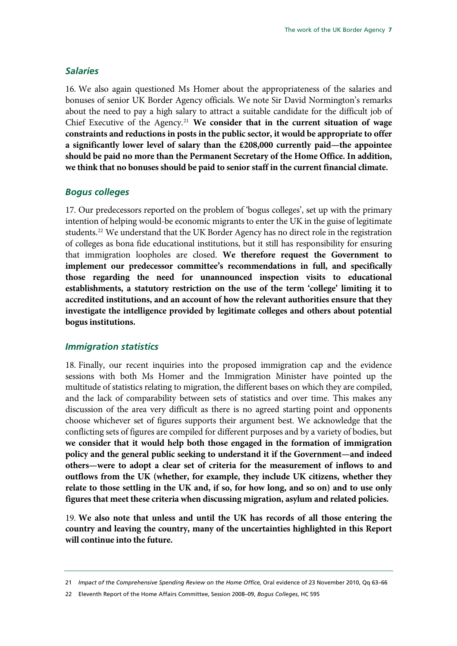### <span id="page-8-0"></span>*Salaries*

16. We also again questioned Ms Homer about the appropriateness of the salaries and bonuses of senior UK Border Agency officials. We note Sir David Normington's remarks about the need to pay a high salary to attract a suitable candidate for the difficult job of Chief Executive of the Agency.[21](#page-8-1) **We consider that in the current situation of wage constraints and reductions in posts in the public sector, it would be appropriate to offer a significantly lower level of salary than the £208,000 currently paid—the appointee should be paid no more than the Permanent Secretary of the Home Office. In addition, we think that no bonuses should be paid to senior staff in the current financial climate.** 

### *Bogus colleges*

17. Our predecessors reported on the problem of 'bogus colleges', set up with the primary intention of helping would-be economic migrants to enter the UK in the guise of legitimate students.<sup>[22](#page-8-2)</sup> We understand that the UK Border Agency has no direct role in the registration of colleges as bona fide educational institutions, but it still has responsibility for ensuring that immigration loopholes are closed. **We therefore request the Government to implement our predecessor committee's recommendations in full, and specifically those regarding the need for unannounced inspection visits to educational establishments, a statutory restriction on the use of the term 'college' limiting it to accredited institutions, and an account of how the relevant authorities ensure that they investigate the intelligence provided by legitimate colleges and others about potential bogus institutions.** 

### *Immigration statistics*

18. Finally, our recent inquiries into the proposed immigration cap and the evidence sessions with both Ms Homer and the Immigration Minister have pointed up the multitude of statistics relating to migration, the different bases on which they are compiled, and the lack of comparability between sets of statistics and over time. This makes any discussion of the area very difficult as there is no agreed starting point and opponents choose whichever set of figures supports their argument best. We acknowledge that the conflicting sets of figures are compiled for different purposes and by a variety of bodies, but **we consider that it would help both those engaged in the formation of immigration policy and the general public seeking to understand it if the Government—and indeed others—were to adopt a clear set of criteria for the measurement of inflows to and outflows from the UK (whether, for example, they include UK citizens, whether they relate to those settling in the UK and, if so, for how long, and so on) and to use only figures that meet these criteria when discussing migration, asylum and related policies.**

19. **We also note that unless and until the UK has records of all those entering the country and leaving the country, many of the uncertainties highlighted in this Report will continue into the future.**

<span id="page-8-1"></span><sup>21</sup> *Impact of the Comprehensive Spending Review on the Home Office,* Oral evidence of 23 November 2010, Qq 63–66

<span id="page-8-2"></span><sup>22</sup> Eleventh Report of the Home Affairs Committee, Session 2008–09, *Bogus Colleges*, HC 595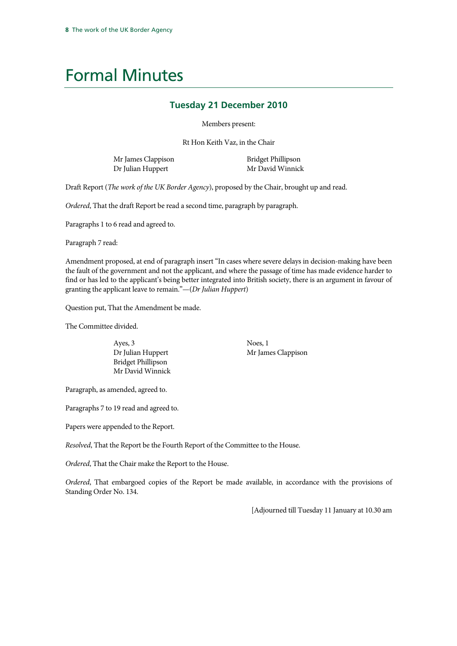## <span id="page-9-0"></span>Formal Minutes

## **Tuesday 21 December 2010**

Members present:

Rt Hon Keith Vaz, in the Chair

Mr James Clappison Dr Julian Huppert

Bridget Phillipson Mr David Winnick

Draft Report (*The work of the UK Border Agency*), proposed by the Chair, brought up and read.

*Ordered*, That the draft Report be read a second time, paragraph by paragraph.

Paragraphs 1 to 6 read and agreed to.

Paragraph 7 read:

Amendment proposed, at end of paragraph insert "In cases where severe delays in decision-making have been the fault of the government and not the applicant, and where the passage of time has made evidence harder to find or has led to the applicant's being better integrated into British society, there is an argument in favour of granting the applicant leave to remain."—(*Dr Julian Huppert*)

Question put, That the Amendment be made.

The Committee divided.

Ayes, 3 Dr Julian Huppert Bridget Phillipson Mr David Winnick Noes, 1 Mr James Clappison

Paragraph, as amended, agreed to.

Paragraphs 7 to 19 read and agreed to.

Papers were appended to the Report.

*Resolved*, That the Report be the Fourth Report of the Committee to the House.

*Ordered*, That the Chair make the Report to the House.

*Ordered*, That embargoed copies of the Report be made available, in accordance with the provisions of Standing Order No. 134.

[Adjourned till Tuesday 11 January at 10.30 am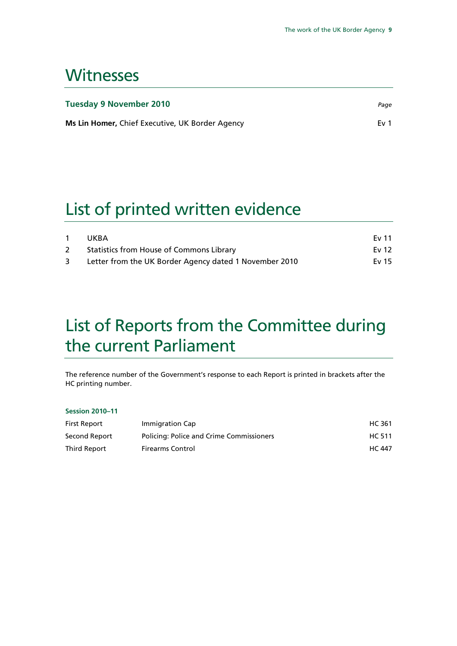## <span id="page-10-0"></span>**Witnesses**

| <b>Tuesday 9 November 2010</b>                  | Page            |
|-------------------------------------------------|-----------------|
| Ms Lin Homer, Chief Executive, UK Border Agency | Fv <sub>1</sub> |

## List of printed written evidence

|             | UKBA                                                   | Ev 11   |
|-------------|--------------------------------------------------------|---------|
| $2^{\circ}$ | Statistics from House of Commons Library               | Ev $12$ |
| 3           | Letter from the UK Border Agency dated 1 November 2010 | Ev 15   |

## List of Reports from the Committee during the current Parliament

The reference number of the Government's response to each Report is printed in brackets after the HC printing number.

### **Session 2010–11**

| First Report  | Immigration Cap                          | HC 361        |
|---------------|------------------------------------------|---------------|
| Second Report | Policing: Police and Crime Commissioners | HC 511        |
| Third Report  | <b>Firearms Control</b>                  | <b>HC 447</b> |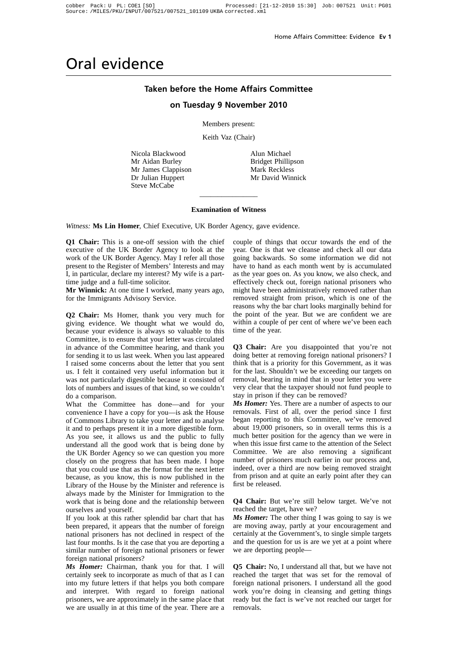#### **Taken before the Home Affairs Committee**

#### **on Tuesday 9 November 2010**

Members present:

Keith Vaz (Chair)

Nicola Blackwood Mr Aidan Burley Mr James Clappison Dr Julian Huppert Steve McCabe

Alun Michael Bridget Phillipson Mark Reckless Mr David Winnick

#### **Examination of Witness**

 $\overline{\phantom{a}}$  , where  $\overline{\phantom{a}}$ 

*Witness:* **Ms Lin Homer**, Chief Executive, UK Border Agency, gave evidence.

**Q1 Chair:** This is a one-off session with the chief executive of the UK Border Agency to look at the work of the UK Border Agency. May I refer all those present to the Register of Members' Interests and may I, in particular, declare my interest? My wife is a parttime judge and a full-time solicitor.

**Mr Winnick:** At one time I worked, many years ago, for the Immigrants Advisory Service.

**Q2 Chair:** Ms Homer, thank you very much for giving evidence. We thought what we would do, because your evidence is always so valuable to this Committee, is to ensure that your letter was circulated in advance of the Committee hearing, and thank you for sending it to us last week. When you last appeared I raised some concerns about the letter that you sent us. I felt it contained very useful information but it was not particularly digestible because it consisted of lots of numbers and issues of that kind, so we couldn't do a comparison.

What the Committee has done—and for your convenience I have a copy for you—is ask the House of Commons Library to take your letter and to analyse it and to perhaps present it in a more digestible form. As you see, it allows us and the public to fully understand all the good work that is being done by the UK Border Agency so we can question you more closely on the progress that has been made. I hope that you could use that as the format for the next letter because, as you know, this is now published in the Library of the House by the Minister and reference is always made by the Minister for Immigration to the work that is being done and the relationship between ourselves and yourself.

If you look at this rather splendid bar chart that has been prepared, it appears that the number of foreign national prisoners has not declined in respect of the last four months. Is it the case that you are deporting a similar number of foreign national prisoners or fewer foreign national prisoners?

*Ms Homer:* Chairman, thank you for that. I will certainly seek to incorporate as much of that as I can into my future letters if that helps you both compare and interpret. With regard to foreign national prisoners, we are approximately in the same place that we are usually in at this time of the year. There are a couple of things that occur towards the end of the year. One is that we cleanse and check all our data going backwards. So some information we did not have to hand as each month went by is accumulated as the year goes on. As you know, we also check, and effectively check out, foreign national prisoners who might have been administratively removed rather than removed straight from prison, which is one of the reasons why the bar chart looks marginally behind for the point of the year. But we are confident we are within a couple of per cent of where we've been each time of the year.

**Q3 Chair:** Are you disappointed that you're not doing better at removing foreign national prisoners? I think that is a priority for this Government, as it was for the last. Shouldn't we be exceeding our targets on removal, bearing in mind that in your letter you were very clear that the taxpayer should not fund people to stay in prison if they can be removed?

*Ms Homer:* Yes. There are a number of aspects to our removals. First of all, over the period since I first began reporting to this Committee, we've removed about 19,000 prisoners, so in overall terms this is a much better position for the agency than we were in when this issue first came to the attention of the Select Committee. We are also removing a significant number of prisoners much earlier in our process and, indeed, over a third are now being removed straight from prison and at quite an early point after they can first be released.

**Q4 Chair:** But we're still below target. We've not reached the target, have we?

*Ms Homer:* The other thing I was going to say is we are moving away, partly at your encouragement and certainly at the Government's, to single simple targets and the question for us is are we yet at a point where we are deporting people—

**Q5 Chair:** No, I understand all that, but we have not reached the target that was set for the removal of foreign national prisoners. I understand all the good work you're doing in cleansing and getting things ready but the fact is we've not reached our target for removals.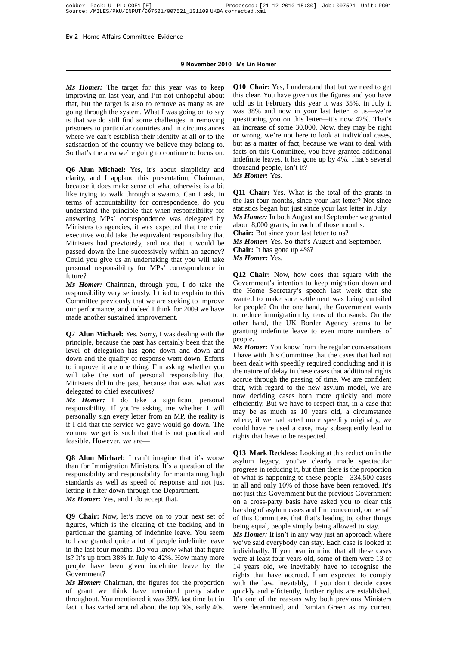*Ms Homer:* The target for this year was to keep improving on last year, and I'm not unhopeful about that, but the target is also to remove as many as are going through the system. What I was going on to say is that we do still find some challenges in removing prisoners to particular countries and in circumstances where we can't establish their identity at all or to the satisfaction of the country we believe they belong to. So that's the area we're going to continue to focus on.

**Q6 Alun Michael:** Yes, it's about simplicity and clarity, and I applaud this presentation, Chairman, because it does make sense of what otherwise is a bit like trying to walk through a swamp. Can I ask, in terms of accountability for correspondence, do you understand the principle that when responsibility for answering MPs' correspondence was delegated by Ministers to agencies, it was expected that the chief executive would take the equivalent responsibility that Ministers had previously, and not that it would be passed down the line successively within an agency? Could you give us an undertaking that you will take personal responsibility for MPs' correspondence in future?

*Ms Homer:* Chairman, through you, I do take the responsibility very seriously. I tried to explain to this Committee previously that we are seeking to improve our performance, and indeed I think for 2009 we have made another sustained improvement.

**Q7 Alun Michael:** Yes. Sorry, I was dealing with the principle, because the past has certainly been that the level of delegation has gone down and down and down and the quality of response went down. Efforts to improve it are one thing. I'm asking whether you will take the sort of personal responsibility that Ministers did in the past, because that was what was delegated to chief executives?

*Ms Homer:* I do take a significant personal responsibility. If you're asking me whether I will personally sign every letter from an MP, the reality is if I did that the service we gave would go down. The volume we get is such that that is not practical and feasible. However, we are—

**Q8 Alun Michael:** I can't imagine that it's worse than for Immigration Ministers. It's a question of the responsibility and responsibility for maintaining high standards as well as speed of response and not just letting it filter down through the Department. *Ms Homer:* Yes, and I do accept that.

**Q9 Chair:** Now, let's move on to your next set of figures, which is the clearing of the backlog and in particular the granting of indefinite leave. You seem to have granted quite a lot of people indefinite leave in the last four months. Do you know what that figure is? It's up from 38% in July to 42%. How many more people have been given indefinite leave by the Government?

*Ms Homer:* Chairman, the figures for the proportion of grant we think have remained pretty stable throughout. You mentioned it was 38% last time but in fact it has varied around about the top 30s, early 40s. **Q10 Chair:** Yes, I understand that but we need to get this clear. You have given us the figures and you have told us in February this year it was 35%, in July it was 38% and now in your last letter to us—we're questioning you on this letter—it's now 42%. That's an increase of some 30,000. Now, they may be right or wrong, we're not here to look at individual cases, but as a matter of fact, because we want to deal with facts on this Committee, you have granted additional indefinite leaves. It has gone up by 4%. That's several thousand people, isn't it? *Ms Homer:* Yes.

**Q11 Chair:** Yes. What is the total of the grants in the last four months, since your last letter? Not since statistics began but just since your last letter in July. *Ms Homer:* In both August and September we granted about 8,000 grants, in each of those months. **Chair:** But since your last letter to us?

*Ms Homer:* Yes. So that's August and September. **Chair:** It has gone up 4%? *Ms Homer:* Yes.

**Q12 Chair:** Now, how does that square with the Government's intention to keep migration down and the Home Secretary's speech last week that she wanted to make sure settlement was being curtailed for people? On the one hand, the Government wants to reduce immigration by tens of thousands. On the other hand, the UK Border Agency seems to be granting indefinite leave to even more numbers of people.

*Ms Homer:* You know from the regular conversations I have with this Committee that the cases that had not been dealt with speedily required concluding and it is the nature of delay in these cases that additional rights accrue through the passing of time. We are confident that, with regard to the new asylum model, we are now deciding cases both more quickly and more efficiently. But we have to respect that, in a case that may be as much as 10 years old, a circumstance where, if we had acted more speedily originally, we could have refused a case, may subsequently lead to rights that have to be respected.

**Q13 Mark Reckless:** Looking at this reduction in the asylum legacy, you've clearly made spectacular progress in reducing it, but then there is the proportion of what is happening to these people—334,500 cases in all and only 10% of those have been removed. It's not just this Government but the previous Government on a cross-party basis have asked you to clear this backlog of asylum cases and I'm concerned, on behalf of this Committee, that that's leading to, other things being equal, people simply being allowed to stay.

*Ms Homer:* It isn't in any way just an approach where we've said everybody can stay. Each case is looked at individually. If you bear in mind that all these cases were at least four years old, some of them were 13 or 14 years old, we inevitably have to recognise the rights that have accrued. I am expected to comply with the law. Inevitably, if you don't decide cases quickly and efficiently, further rights are established. It's one of the reasons why both previous Ministers were determined, and Damian Green as my current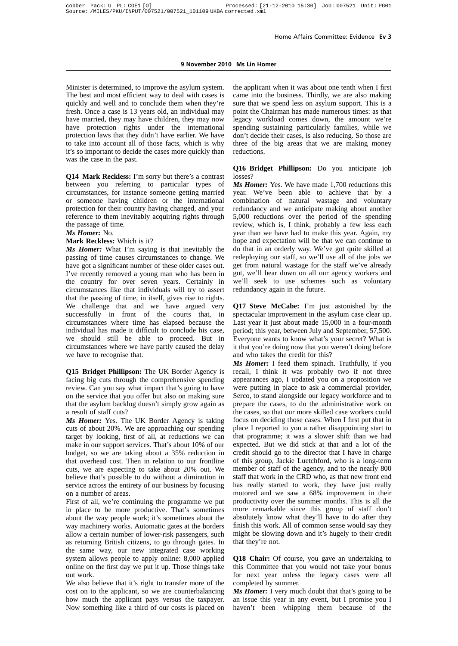#### **9 November 2010 Ms Lin Homer**

Minister is determined, to improve the asylum system. The best and most efficient way to deal with cases is quickly and well and to conclude them when they're fresh. Once a case is 13 years old, an individual may have married, they may have children, they may now have protection rights under the international protection laws that they didn't have earlier. We have to take into account all of those facts, which is why it's so important to decide the cases more quickly than was the case in the past.

**Q14 Mark Reckless:** I'm sorry but there's a contrast between you referring to particular types of circumstances, for instance someone getting married or someone having children or the international protection for their country having changed, and your reference to them inevitably acquiring rights through the passage of time.

#### *Ms Homer:* No.

#### **Mark Reckless:** Which is it?

*Ms Homer:* What I'm saying is that inevitably the passing of time causes circumstances to change. We have got a significant number of these older cases out. I've recently removed a young man who has been in the country for over seven years. Certainly in circumstances like that individuals will try to assert that the passing of time, in itself, gives rise to rights. We challenge that and we have argued very successfully in front of the courts that, in circumstances where time has elapsed because the individual has made it difficult to conclude his case, we should still be able to proceed. But in circumstances where we have partly caused the delay we have to recognise that.

**Q15 Bridget Phillipson:** The UK Border Agency is facing big cuts through the comprehensive spending review. Can you say what impact that's going to have on the service that you offer but also on making sure that the asylum backlog doesn't simply grow again as a result of staff cuts?

*Ms Homer:* Yes. The UK Border Agency is taking cuts of about 20%. We are approaching our spending target by looking, first of all, at reductions we can make in our support services. That's about 10% of our budget, so we are taking about a 35% reduction in that overhead cost. Then in relation to our frontline cuts, we are expecting to take about 20% out. We believe that's possible to do without a diminution in service across the entirety of our business by focusing on a number of areas.

First of all, we're continuing the programme we put in place to be more productive. That's sometimes about the way people work; it's sometimes about the way machinery works. Automatic gates at the borders allow a certain number of lower-risk passengers, such as returning British citizens, to go through gates. In the same way, our new integrated case working system allows people to apply online: 8,000 applied online on the first day we put it up. Those things take out work.

We also believe that it's right to transfer more of the cost on to the applicant, so we are counterbalancing how much the applicant pays versus the taxpayer. Now something like a third of our costs is placed on the applicant when it was about one tenth when I first came into the business. Thirdly, we are also making sure that we spend less on asylum support. This is a point the Chairman has made numerous times: as that legacy workload comes down, the amount we're spending sustaining particularly families, while we don't decide their cases, is also reducing. So those are three of the big areas that we are making money reductions.

#### **Q16 Bridget Phillipson:** Do you anticipate job losses?

*Ms Homer:* Yes. We have made 1,700 reductions this year. We've been able to achieve that by a combination of natural wastage and voluntary redundancy and we anticipate making about another 5,000 reductions over the period of the spending review, which is, I think, probably a few less each year than we have had to make this year. Again, my hope and expectation will be that we can continue to do that in an orderly way. We've got quite skilled at redeploying our staff, so we'll use all of the jobs we get from natural wastage for the staff we've already got, we'll bear down on all our agency workers and we'll seek to use schemes such as voluntary redundancy again in the future.

**Q17 Steve McCabe:** I'm just astonished by the spectacular improvement in the asylum case clear up. Last year it just about made 15,000 in a four-month period; this year, between July and September, 57,500. Everyone wants to know what's your secret? What is it that you're doing now that you weren't doing before and who takes the credit for this?

*Ms Homer:* I feed them spinach. Truthfully, if you recall, I think it was probably two if not three appearances ago, I updated you on a proposition we were putting in place to ask a commercial provider, Serco, to stand alongside our legacy workforce and to prepare the cases, to do the administrative work on the cases, so that our more skilled case workers could focus on deciding those cases. When I first put that in place I reported to you a rather disappointing start to that programme; it was a slower shift than we had expected. But we did stick at that and a lot of the credit should go to the director that I have in charge of this group, Jackie Luetchford, who is a long-term member of staff of the agency, and to the nearly 800 staff that work in the CRD who, as that new front end has really started to work, they have just really motored and we saw a 68% improvement in their productivity over the summer months. This is all the more remarkable since this group of staff don't absolutely know what they'll have to do after they finish this work. All of common sense would say they might be slowing down and it's hugely to their credit that they're not.

**Q18 Chair:** Of course, you gave an undertaking to this Committee that you would not take your bonus for next year unless the legacy cases were all completed by summer.

*Ms Homer:* I very much doubt that that's going to be an issue this year in any event, but I promise you I haven't been whipping them because of the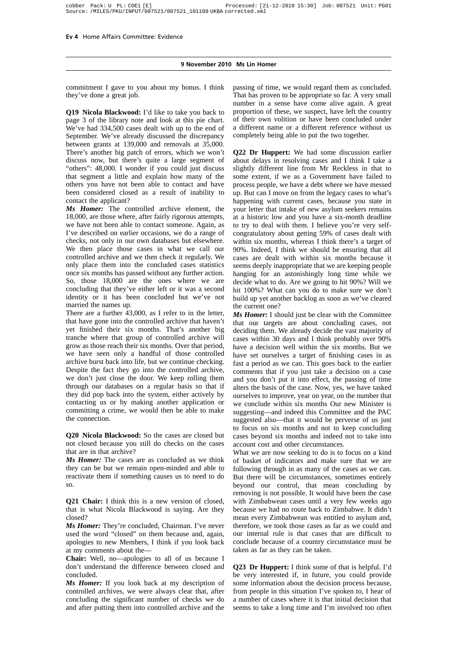commitment I gave to you about my bonus. I think they've done a great job.

**Q19 Nicola Blackwood:** I'd like to take you back to page 3 of the library note and look at this pie chart. We've had 334,500 cases dealt with up to the end of September. We've already discussed the discrepancy between grants at 139,000 and removals at 35,000. There's another big patch of errors, which we won't discuss now, but there's quite a large segment of "others": 48,000. I wonder if you could just discuss that segment a little and explain how many of the others you have not been able to contact and have been considered closed as a result of inability to contact the applicant?

*Ms Homer:* The controlled archive element, the 18,000, are those where, after fairly rigorous attempts, we have not been able to contact someone. Again, as I've described on earlier occasions, we do a range of checks, not only in our own databases but elsewhere. We then place those cases in what we call our controlled archive and we then check it regularly. We only place them into the concluded cases statistics once six months has passed without any further action. So, those 18,000 are the ones where we are concluding that they've either left or it was a second identity or it has been concluded but we've not married the names up.

There are a further 43,000, as I refer to in the letter, that have gone into the controlled archive that haven't yet finished their six months. That's another big tranche where that group of controlled archive will grow as those reach their six months. Over that period, we have seen only a handful of those controlled archive burst back into life, but we continue checking. Despite the fact they go into the controlled archive, we don't just close the door. We keep rolling them through our databases on a regular basis so that if they did pop back into the system, either actively by contacting us or by making another application or committing a crime, we would then be able to make the connection.

**Q20 Nicola Blackwood:** So the cases are closed but not closed because you still do checks on the cases that are in that archive?

*Ms Homer:* The cases are as concluded as we think they can be but we remain open-minded and able to reactivate them if something causes us to need to do so.

**Q21 Chair:** I think this is a new version of closed, that is what Nicola Blackwood is saying. Are they closed?

*Ms Homer:* They're concluded, Chairman. I've never used the word "closed" on them because and, again, apologies to new Members, I think if you look back at my comments about the—

**Chair:** Well, no—apologies to all of us because I don't understand the difference between closed and concluded.

*Ms Homer:* If you look back at my description of controlled archives, we were always clear that, after concluding the significant number of checks we do and after putting them into controlled archive and the passing of time, we would regard them as concluded. That has proven to be appropriate so far. A very small number in a sense have come alive again. A great proportion of these, we suspect, have left the country of their own volition or have been concluded under a different name or a different reference without us completely being able to put the two together.

**Q22 Dr Huppert:** We had some discussion earlier about delays in resolving cases and I think I take a slightly different line from Mr Reckless in that to some extent, if we as a Government have failed to process people, we have a debt where we have messed up. But can I move on from the legacy cases to what's happening with current cases, because you state in your letter that intake of new asylum seekers remains at a historic low and you have a six-month deadline to try to deal with them. I believe you're very selfcongratulatory about getting 59% of cases dealt with within six months, whereas I think there's a target of 90%. Indeed, I think we should be ensuring that all cases are dealt with within six months because it seems deeply inappropriate that we are keeping people hanging for an astonishingly long time while we decide what to do. Are we going to hit 90%? Will we hit 100%? What can you do to make sure we don't build up yet another backlog as soon as we've cleared the current one?

*Ms Homer:* I should just be clear with the Committee that our targets are about concluding cases, not deciding them. We already decide the vast majority of cases within 30 days and I think probably over 90% have a decision well within the six months. But we have set ourselves a target of finishing cases in as fast a period as we can. This goes back to the earlier comments that if you just take a decision on a case and you don't put it into effect, the passing of time alters the basis of the case. Now, yes, we have tasked ourselves to improve, year on year, on the number that we conclude within six months Our new Minister is suggesting—and indeed this Committee and the PAC suggested also—that it would be perverse of us just to focus on six months and not to keep concluding cases beyond six months and indeed not to take into account cost and other circumstances.

What we are now seeking to do is to focus on a kind of basket of indicators and make sure that we are following through in as many of the cases as we can. But there will be circumstances, sometimes entirely beyond our control, that mean concluding by removing is not possible. It would have been the case with Zimbabwean cases until a very few weeks ago because we had no route back to Zimbabwe. It didn't mean every Zimbabwean was entitled to asylum and, therefore, we took those cases as far as we could and our internal rule is that cases that are difficult to conclude because of a country circumstance must be taken as far as they can be taken.

**Q23 Dr Huppert:** I think some of that is helpful. I'd be very interested if, in future, you could provide some information about the decision process because, from people in this situation I've spoken to, I hear of a number of cases where it is that initial decision that seems to take a long time and I'm involved too often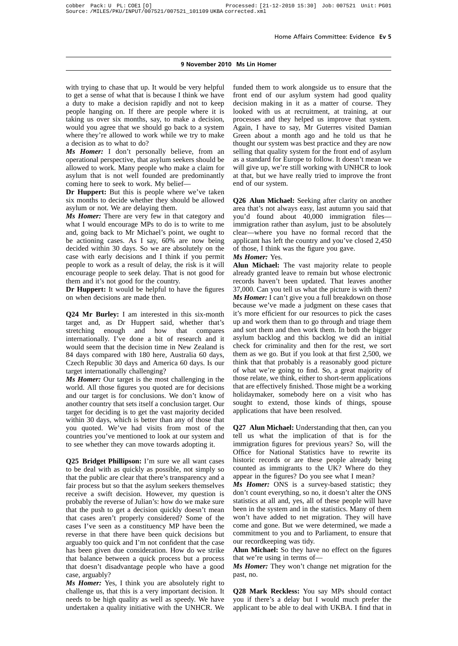#### **9 November 2010 Ms Lin Homer**

with trying to chase that up. It would be very helpful to get a sense of what that is because I think we have a duty to make a decision rapidly and not to keep people hanging on. If there are people where it is taking us over six months, say, to make a decision, would you agree that we should go back to a system where they're allowed to work while we try to make a decision as to what to do?

*Ms Homer:* I don't personally believe, from an operational perspective, that asylum seekers should be allowed to work. Many people who make a claim for asylum that is not well founded are predominantly coming here to seek to work. My belief—

**Dr Huppert:** But this is people where we've taken six months to decide whether they should be allowed asylum or not. We are delaying them.

*Ms Homer:* There are very few in that category and what I would encourage MPs to do is to write to me and, going back to Mr Michael's point, we ought to be actioning cases. As I say, 60% are now being decided within 30 days. So we are absolutely on the case with early decisions and I think if you permit people to work as a result of delay, the risk is it will encourage people to seek delay. That is not good for them and it's not good for the country.

**Dr Huppert:** It would be helpful to have the figures on when decisions are made then.

**Q24 Mr Burley:** I am interested in this six-month target and, as Dr Huppert said, whether that's stretching enough and how that compares internationally. I've done a bit of research and it would seem that the decision time in New Zealand is 84 days compared with 180 here, Australia 60 days, Czech Republic 30 days and America 60 days. Is our target internationally challenging?

*Ms Homer:* Our target is the most challenging in the world. All those figures you quoted are for decisions and our target is for conclusions. We don't know of another country that sets itself a conclusion target. Our target for deciding is to get the vast majority decided within 30 days, which is better than any of those that you quoted. We've had visits from most of the countries you've mentioned to look at our system and to see whether they can move towards adopting it.

**Q25 Bridget Phillipson:** I'm sure we all want cases to be deal with as quickly as possible, not simply so that the public are clear that there's transparency and a fair process but so that the asylum seekers themselves receive a swift decision. However, my question is probably the reverse of Julian's: how do we make sure that the push to get a decision quickly doesn't mean that cases aren't properly considered? Some of the cases I've seen as a constituency MP have been the reverse in that there have been quick decisions but arguably too quick and I'm not confident that the case has been given due consideration. How do we strike that balance between a quick process but a process that doesn't disadvantage people who have a good case, arguably?

*Ms Homer:* Yes, I think you are absolutely right to challenge us, that this is a very important decision. It needs to be high quality as well as speedy. We have undertaken a quality initiative with the UNHCR. We funded them to work alongside us to ensure that the front end of our asylum system had good quality decision making in it as a matter of course. They looked with us at recruitment, at training, at our processes and they helped us improve that system. Again, I have to say, Mr Guterres visited Damian Green about a month ago and he told us that he thought our system was best practice and they are now selling that quality system for the front end of asylum as a standard for Europe to follow. It doesn't mean we will give up, we're still working with UNHCR to look at that, but we have really tried to improve the front end of our system.

**Q26 Alun Michael:** Seeking after clarity on another area that's not always easy, last autumn you said that you'd found about 40,000 immigration files immigration rather than asylum, just to be absolutely clear—where you have no formal record that the applicant has left the country and you've closed 2,450 of those, I think was the figure you gave.

#### *Ms Homer:* Yes.

**Alun Michael:** The vast majority relate to people already granted leave to remain but whose electronic records haven't been updated. That leaves another 37,000. Can you tell us what the picture is with them? *Ms Homer:* I can't give you a full breakdown on those because we've made a judgment on these cases that it's more efficient for our resources to pick the cases up and work them than to go through and triage them and sort them and then work them. In both the bigger asylum backlog and this backlog we did an initial check for criminality and then for the rest, we sort them as we go. But if you look at that first 2,500, we think that that probably is a reasonably good picture of what we're going to find. So, a great majority of those relate, we think, either to short-term applications that are effectively finished. Those might be a working holidaymaker, somebody here on a visit who has sought to extend, those kinds of things, spouse applications that have been resolved.

**Q27 Alun Michael:** Understanding that then, can you tell us what the implication of that is for the immigration figures for previous years? So, will the Office for National Statistics have to rewrite its historic records or are these people already being counted as immigrants to the UK? Where do they appear in the figures? Do you see what I mean?

*Ms Homer:* ONS is a survey-based statistic; they don't count everything, so no, it doesn't alter the ONS statistics at all and, yes, all of these people will have been in the system and in the statistics. Many of them won't have added to net migration. They will have come and gone. But we were determined, we made a commitment to you and to Parliament, to ensure that our recordkeeping was tidy.

**Alun Michael:** So they have no effect on the figures that we're using in terms of—

*Ms Homer:* They won't change net migration for the past, no.

**Q28 Mark Reckless:** You say MPs should contact you if there's a delay but I would much prefer the applicant to be able to deal with UKBA. I find that in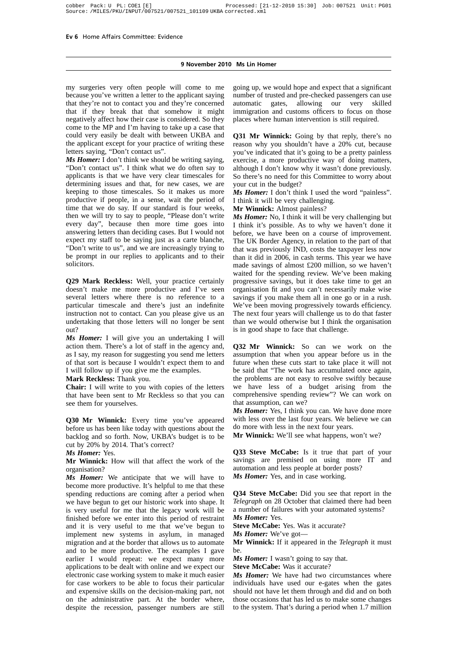#### **9 November 2010 Ms Lin Homer**

my surgeries very often people will come to me because you've written a letter to the applicant saying that they're not to contact you and they're concerned that if they break that that somehow it might negatively affect how their case is considered. So they come to the MP and I'm having to take up a case that could very easily be dealt with between UKBA and the applicant except for your practice of writing these letters saying, "Don't contact us".

*Ms Homer:* I don't think we should be writing saying. "Don't contact us". I think what we do often say to applicants is that we have very clear timescales for determining issues and that, for new cases, we are keeping to those timescales. So it makes us more productive if people, in a sense, wait the period of time that we do say. If our standard is four weeks, then we will try to say to people, "Please don't write every day", because then more time goes into answering letters than deciding cases. But I would not expect my staff to be saying just as a carte blanche, "Don't write to us", and we are increasingly trying to be prompt in our replies to applicants and to their solicitors.

**Q29 Mark Reckless:** Well, your practice certainly doesn't make me more productive and I've seen several letters where there is no reference to a particular timescale and there's just an indefinite instruction not to contact. Can you please give us an undertaking that those letters will no longer be sent out?

*Ms Homer:* I will give you an undertaking I will action them. There's a lot of staff in the agency and, as I say, my reason for suggesting you send me letters of that sort is because I wouldn't expect them to and I will follow up if you give me the examples.

#### **Mark Reckless:** Thank you.

**Chair:** I will write to you with copies of the letters that have been sent to Mr Reckless so that you can see them for yourselves.

**Q30 Mr Winnick:** Every time you've appeared before us has been like today with questions about the backlog and so forth. Now, UKBA's budget is to be cut by 20% by 2014. That's correct?

#### *Ms Homer:* Yes.

**Mr Winnick:** How will that affect the work of the organisation?

*Ms Homer:* We anticipate that we will have to become more productive. It's helpful to me that these spending reductions are coming after a period when we have begun to get our historic work into shape. It is very useful for me that the legacy work will be finished before we enter into this period of restraint and it is very useful to me that we've begun to implement new systems in asylum, in managed migration and at the border that allows us to automate and to be more productive. The examples I gave earlier I would repeat: we expect many more applications to be dealt with online and we expect our electronic case working system to make it much easier for case workers to be able to focus their particular and expensive skills on the decision-making part, not on the administrative part. At the border where, despite the recession, passenger numbers are still going up, we would hope and expect that a significant number of trusted and pre-checked passengers can use automatic gates, allowing our very skilled immigration and customs officers to focus on those places where human intervention is still required.

**Q31 Mr Winnick:** Going by that reply, there's no reason why you shouldn't have a 20% cut, because you've indicated that it's going to be a pretty painless exercise, a more productive way of doing matters, although I don't know why it wasn't done previously. So there's no need for this Committee to worry about your cut in the budget?

*Ms Homer:* I don't think I used the word "painless". I think it will be very challenging.

**Mr Winnick:** Almost painless?

*Ms Homer:* No. I think it will be very challenging but I think it's possible. As to why we haven't done it before, we have been on a course of improvement. The UK Border Agency, in relation to the part of that that was previously IND, costs the taxpayer less now than it did in 2006, in cash terms. This year we have made savings of almost £200 million, so we haven't waited for the spending review. We've been making progressive savings, but it does take time to get an organisation fit and you can't necessarily make wise savings if you make them all in one go or in a rush. We've been moving progressively towards efficiency. The next four years will challenge us to do that faster than we would otherwise but I think the organisation is in good shape to face that challenge.

**Q32 Mr Winnick:** So can we work on the assumption that when you appear before us in the future when these cuts start to take place it will not be said that "The work has accumulated once again, the problems are not easy to resolve swiftly because we have less of a budget arising from the comprehensive spending review"? We can work on that assumption, can we?

*Ms Homer:* Yes, I think you can. We have done more with less over the last four years. We believe we can do more with less in the next four years.

**Mr Winnick:** We'll see what happens, won't we?

**Q33 Steve McCabe:** Is it true that part of your savings are premised on using more IT and automation and less people at border posts? *Ms Homer:* Yes, and in case working.

**Q34 Steve McCabe:** Did you see that report in the *Telegraph* on 28 October that claimed there had been a number of failures with your automated systems? *Ms Homer:* Yes.

**Steve McCabe:** Yes. Was it accurate?

*Ms Homer:* We've got—

**Mr Winnick:** If it appeared in the *Telegraph* it must be.

*Ms Homer:* I wasn't going to say that.

**Steve McCabe:** Was it accurate?

*Ms Homer:* We have had two circumstances where individuals have used our e-gates when the gates should not have let them through and did and on both those occasions that has led us to make some changes to the system. That's during a period when 1.7 million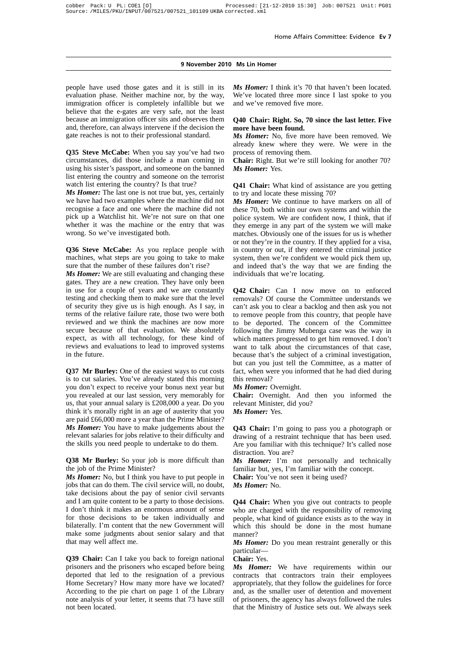people have used those gates and it is still in its evaluation phase. Neither machine nor, by the way, immigration officer is completely infallible but we believe that the e-gates are very safe, not the least because an immigration officer sits and observes them and, therefore, can always intervene if the decision the gate reaches is not to their professional standard.

**Q35 Steve McCabe:** When you say you've had two circumstances, did those include a man coming in using his sister's passport, and someone on the banned list entering the country and someone on the terrorist watch list entering the country? Is that true?

*Ms Homer:* The last one is not true but, yes, certainly we have had two examples where the machine did not recognise a face and one where the machine did not pick up a Watchlist hit. We're not sure on that one whether it was the machine or the entry that was wrong. So we've investigated both.

**Q36 Steve McCabe:** As you replace people with machines, what steps are you going to take to make sure that the number of these failures don't rise?

*Ms Homer:* We are still evaluating and changing these gates. They are a new creation. They have only been in use for a couple of years and we are constantly testing and checking them to make sure that the level of security they give us is high enough. As I say, in terms of the relative failure rate, those two were both reviewed and we think the machines are now more secure because of that evaluation. We absolutely expect, as with all technology, for these kind of reviews and evaluations to lead to improved systems in the future.

**Q37 Mr Burley:** One of the easiest ways to cut costs is to cut salaries. You've already stated this morning you don't expect to receive your bonus next year but you revealed at our last session, very memorably for us, that your annual salary is £208,000 a year. Do you think it's morally right in an age of austerity that you are paid £66,000 more a year than the Prime Minister? *Ms Homer:* You have to make judgements about the relevant salaries for jobs relative to their difficulty and the skills you need people to undertake to do them.

**Q38 Mr Burley:** So your job is more difficult than the job of the Prime Minister?

*Ms Homer:* No, but I think you have to put people in jobs that can do them. The civil service will, no doubt, take decisions about the pay of senior civil servants and I am quite content to be a party to those decisions. I don't think it makes an enormous amount of sense for those decisions to be taken individually and bilaterally. I'm content that the new Government will make some judgments about senior salary and that that may well affect me.

**Q39 Chair:** Can I take you back to foreign national prisoners and the prisoners who escaped before being deported that led to the resignation of a previous Home Secretary? How many more have we located? According to the pie chart on page 1 of the Library note analysis of your letter, it seems that 73 have still not been located.

*Ms Homer:* I think it's 70 that haven't been located. We've located three more since I last spoke to you and we've removed five more.

#### **Q40 Chair: Right. So, 70 since the last letter. Five more have been found.**

*Ms Homer:* No, five more have been removed. We already knew where they were. We were in the process of removing them.

**Chair:** Right. But we're still looking for another 70? *Ms Homer:* Yes.

**Q41 Chair:** What kind of assistance are you getting to try and locate these missing 70?

*Ms Homer:* We continue to have markers on all of these 70, both within our own systems and within the police system. We are confident now, I think, that if they emerge in any part of the system we will make matches. Obviously one of the issues for us is whether or not they're in the country. If they applied for a visa, in country or out, if they entered the criminal justice system, then we're confident we would pick them up, and indeed that's the way that we are finding the individuals that we're locating.

**Q42 Chair:** Can I now move on to enforced removals? Of course the Committee understands we can't ask you to clear a backlog and then ask you not to remove people from this country, that people have to be deported. The concern of the Committee following the Jimmy Mubenga case was the way in which matters progressed to get him removed. I don't want to talk about the circumstances of that case, because that's the subject of a criminal investigation, but can you just tell the Committee, as a matter of fact, when were you informed that he had died during this removal?

*Ms Homer:* Overnight.

**Chair:** Overnight. And then you informed the relevant Minister, did you?

*Ms Homer:* Yes.

**Q43 Chair:** I'm going to pass you a photograph or drawing of a restraint technique that has been used. Are you familiar with this technique? It's called nose distraction. You are?

*Ms Homer:* I'm not personally and technically familiar but, yes, I'm familiar with the concept.

**Chair:** You've not seen it being used?

*Ms Homer:* No.

**Q44 Chair:** When you give out contracts to people who are charged with the responsibility of removing people, what kind of guidance exists as to the way in which this should be done in the most humane manner?

*Ms Homer:* Do you mean restraint generally or this particular—

**Chair:** Yes.

*Ms Homer:* We have requirements within our contracts that contractors train their employees appropriately, that they follow the guidelines for force and, as the smaller user of detention and movement of prisoners, the agency has always followed the rules that the Ministry of Justice sets out. We always seek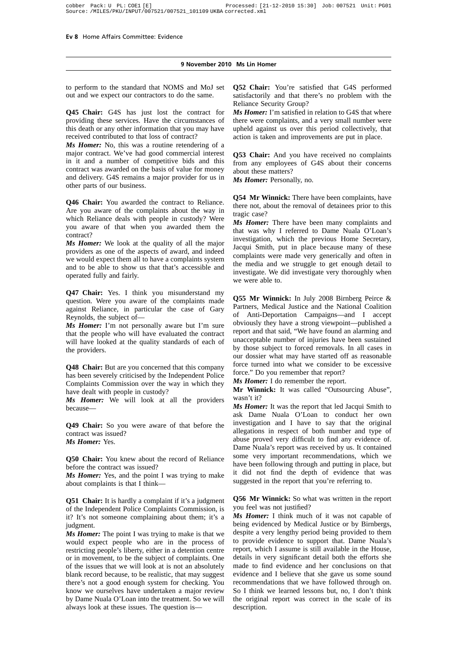to perform to the standard that NOMS and MoJ set out and we expect our contractors to do the same.

**Q45 Chair:** G4S has just lost the contract for providing these services. Have the circumstances of this death or any other information that you may have received contributed to that loss of contract?

*Ms Homer:* No, this was a routine retendering of a major contract. We've had good commercial interest in it and a number of competitive bids and this contract was awarded on the basis of value for money and delivery. G4S remains a major provider for us in other parts of our business.

**Q46 Chair:** You awarded the contract to Reliance. Are you aware of the complaints about the way in which Reliance deals with people in custody? Were you aware of that when you awarded them the contract?

*Ms Homer:* We look at the quality of all the major providers as one of the aspects of award, and indeed we would expect them all to have a complaints system and to be able to show us that that's accessible and operated fully and fairly.

**Q47 Chair:** Yes. I think you misunderstand my question. Were you aware of the complaints made against Reliance, in particular the case of Gary Reynolds, the subject of—

*Ms Homer:* I'm not personally aware but I'm sure that the people who will have evaluated the contract will have looked at the quality standards of each of the providers.

**Q48 Chair:** But are you concerned that this company has been severely criticised by the Independent Police Complaints Commission over the way in which they have dealt with people in custody?

*Ms Homer:* We will look at all the providers because—

**Q49 Chair:** So you were aware of that before the contract was issued? *Ms Homer:* Yes.

**Q50 Chair:** You knew about the record of Reliance before the contract was issued?

*Ms Homer:* Yes, and the point I was trying to make about complaints is that I think—

**Q51 Chair:** It is hardly a complaint if it's a judgment of the Independent Police Complaints Commission, is it? It's not someone complaining about them; it's a judgment.

*Ms Homer:* The point I was trying to make is that we would expect people who are in the process of restricting people's liberty, either in a detention centre or in movement, to be the subject of complaints. One of the issues that we will look at is not an absolutely blank record because, to be realistic, that may suggest there's not a good enough system for checking. You know we ourselves have undertaken a major review by Dame Nuala O'Loan into the treatment. So we will always look at these issues. The question is**Q52 Chair:** You're satisfied that G4S performed satisfactorily and that there's no problem with the Reliance Security Group?

*Ms Homer:* I'm satisfied in relation to G4S that where there were complaints, and a very small number were upheld against us over this period collectively, that action is taken and improvements are put in place.

**Q53 Chair:** And you have received no complaints from any employees of G4S about their concerns about these matters?

*Ms Homer:* Personally, no.

**Q54 Mr Winnick:** There have been complaints, have there not, about the removal of detainees prior to this tragic case?

*Ms Homer:* There have been many complaints and that was why I referred to Dame Nuala O'Loan's investigation, which the previous Home Secretary, Jacqui Smith, put in place because many of these complaints were made very generically and often in the media and we struggle to get enough detail to investigate. We did investigate very thoroughly when we were able to.

**Q55 Mr Winnick:** In July 2008 Birnberg Peirce & Partners, Medical Justice and the National Coalition of Anti-Deportation Campaigns—and I accept obviously they have a strong viewpoint—published a report and that said, "We have found an alarming and unacceptable number of injuries have been sustained by those subject to forced removals. In all cases in our dossier what may have started off as reasonable force turned into what we consider to be excessive force." Do you remember that report?

*Ms Homer:* I do remember the report.

**Mr Winnick:** It was called "Outsourcing Abuse", wasn't it?

*Ms Homer:* It was the report that led Jacqui Smith to ask Dame Nuala O'Loan to conduct her own investigation and I have to say that the original allegations in respect of both number and type of abuse proved very difficult to find any evidence of. Dame Nuala's report was received by us. It contained some very important recommendations, which we have been following through and putting in place, but it did not find the depth of evidence that was suggested in the report that you're referring to.

**Q56 Mr Winnick:** So what was written in the report you feel was not justified?

*Ms Homer:* I think much of it was not capable of being evidenced by Medical Justice or by Birnbergs, despite a very lengthy period being provided to them to provide evidence to support that. Dame Nuala's report, which I assume is still available in the House, details in very significant detail both the efforts she made to find evidence and her conclusions on that evidence and I believe that she gave us some sound recommendations that we have followed through on. So I think we learned lessons but, no, I don't think the original report was correct in the scale of its description.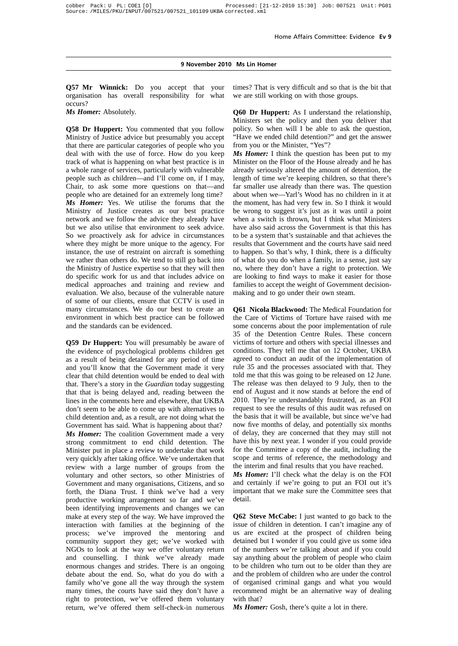**Q57 Mr Winnick:** Do you accept that your organisation has overall responsibility for what occurs?

*Ms Homer:* Absolutely.

**Q58 Dr Huppert:** You commented that you follow Ministry of Justice advice but presumably you accept that there are particular categories of people who you deal with with the use of force. How do you keep track of what is happening on what best practice is in a whole range of services, particularly with vulnerable people such as children—and I'll come on, if I may, Chair, to ask some more questions on that—and people who are detained for an extremely long time? *Ms Homer:* Yes. We utilise the forums that the Ministry of Justice creates as our best practice network and we follow the advice they already have but we also utilise that environment to seek advice. So we proactively ask for advice in circumstances where they might be more unique to the agency. For instance, the use of restraint on aircraft is something we rather than others do. We tend to still go back into the Ministry of Justice expertise so that they will then do specific work for us and that includes advice on medical approaches and training and review and evaluation. We also, because of the vulnerable nature of some of our clients, ensure that CCTV is used in many circumstances. We do our best to create an environment in which best practice can be followed and the standards can be evidenced.

**Q59 Dr Huppert:** You will presumably be aware of the evidence of psychological problems children get as a result of being detained for any period of time and you'll know that the Government made it very clear that child detention would be ended to deal with that. There's a story in the *Guardian* today suggesting that that is being delayed and, reading between the lines in the comments here and elsewhere, that UKBA don't seem to be able to come up with alternatives to child detention and, as a result, are not doing what the Government has said. What is happening about that? *Ms Homer:* The coalition Government made a very strong commitment to end child detention. The Minister put in place a review to undertake that work very quickly after taking office. We've undertaken that review with a large number of groups from the voluntary and other sectors, so other Ministries of Government and many organisations, Citizens, and so forth, the Diana Trust. I think we've had a very productive working arrangement so far and we've been identifying improvements and changes we can make at every step of the way. We have improved the interaction with families at the beginning of the process; we've improved the mentoring and community support they get; we've worked with NGOs to look at the way we offer voluntary return and counselling. I think we've already made enormous changes and strides. There is an ongoing debate about the end. So, what do you do with a family who've gone all the way through the system many times, the courts have said they don't have a right to protection, we've offered them voluntary return, we've offered them self-check-in numerous times? That is very difficult and so that is the bit that we are still working on with those groups.

**Q60 Dr Huppert:** As I understand the relationship, Ministers set the policy and then you deliver that policy. So when will I be able to ask the question, "Have we ended child detention?" and get the answer from you or the Minister, "Yes"?

*Ms Homer:* I think the question has been put to my Minister on the Floor of the House already and he has already seriously altered the amount of detention, the length of time we're keeping children, so that there's far smaller use already than there was. The question about when we—Yarl's Wood has no children in it at the moment, has had very few in. So I think it would be wrong to suggest it's just as it was until a point when a switch is thrown, but I think what Ministers have also said across the Government is that this has to be a system that's sustainable and that achieves the results that Government and the courts have said need to happen. So that's why, I think, there is a difficulty of what do you do when a family, in a sense, just say no, where they don't have a right to protection. We are looking to find ways to make it easier for those families to accept the weight of Government decisionmaking and to go under their own steam.

**Q61 Nicola Blackwood:** The Medical Foundation for the Care of Victims of Torture have raised with me some concerns about the poor implementation of rule 35 of the Detention Centre Rules. These concern victims of torture and others with special illnesses and conditions. They tell me that on 12 October, UKBA agreed to conduct an audit of the implementation of rule 35 and the processes associated with that. They told me that this was going to be released on 12 June. The release was then delayed to 9 July, then to the end of August and it now stands at before the end of 2010. They're understandably frustrated, as an FOI request to see the results of this audit was refused on the basis that it will be available, but since we've had now five months of delay, and potentially six months of delay, they are concerned that they may still not have this by next year. I wonder if you could provide for the Committee a copy of the audit, including the scope and terms of reference, the methodology and the interim and final results that you have reached.

*Ms Homer:* I'll check what the delay is on the FOI and certainly if we're going to put an FOI out it's important that we make sure the Committee sees that detail.

**Q62 Steve McCabe:** I just wanted to go back to the issue of children in detention. I can't imagine any of us are excited at the prospect of children being detained but I wonder if you could give us some idea of the numbers we're talking about and if you could say anything about the problem of people who claim to be children who turn out to be older than they are and the problem of children who are under the control of organised criminal gangs and what you would recommend might be an alternative way of dealing with that?

*Ms Homer:* Gosh, there's quite a lot in there.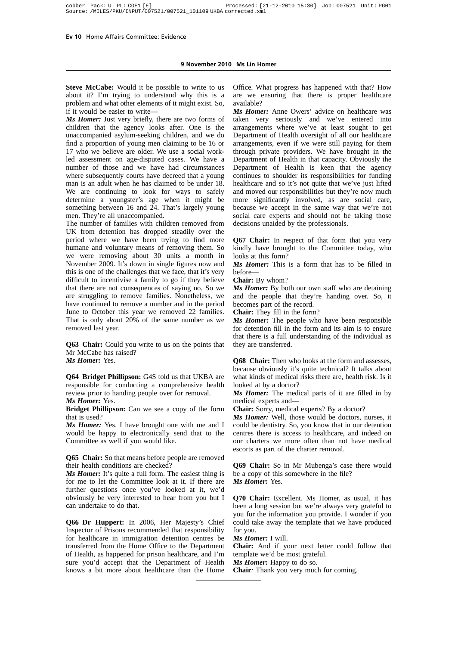#### **9 November 2010 Ms Lin Homer**

**Steve McCabe:** Would it be possible to write to us about it? I'm trying to understand why this is a problem and what other elements of it might exist. So, if it would be easier to write—

*Ms Homer:* Just very briefly, there are two forms of children that the agency looks after. One is the unaccompanied asylum-seeking children, and we do find a proportion of young men claiming to be 16 or 17 who we believe are older. We use a social workled assessment on age-disputed cases. We have a number of those and we have had circumstances where subsequently courts have decreed that a young man is an adult when he has claimed to be under 18. We are continuing to look for ways to safely determine a youngster's age when it might be something between 16 and 24. That's largely young men. They're all unaccompanied.

The number of families with children removed from UK from detention has dropped steadily over the period where we have been trying to find more humane and voluntary means of removing them. So we were removing about 30 units a month in November 2009. It's down in single figures now and this is one of the challenges that we face, that it's very difficult to incentivise a family to go if they believe that there are not consequences of saying no. So we are struggling to remove families. Nonetheless, we have continued to remove a number and in the period June to October this year we removed 22 families. That is only about 20% of the same number as we removed last year.

**Q63 Chair:** Could you write to us on the points that Mr McCabe has raised?

*Ms Homer:* Yes.

**Q64 Bridget Phillipson:** G4S told us that UKBA are responsible for conducting a comprehensive health review prior to handing people over for removal. *Ms Homer:* Yes.

**Bridget Phillipson:** Can we see a copy of the form that is used?

*Ms Homer:* Yes. I have brought one with me and I would be happy to electronically send that to the Committee as well if you would like.

**Q65 Chair:** So that means before people are removed their health conditions are checked?

*Ms Homer:* It's quite a full form. The easiest thing is for me to let the Committee look at it. If there are further questions once you've looked at it, we'd obviously be very interested to hear from you but I can undertake to do that.

**Q66 Dr Huppert:** In 2006, Her Majesty's Chief Inspector of Prisons recommended that responsibility for healthcare in immigration detention centres be transferred from the Home Office to the Department of Health, as happened for prison healthcare, and I'm sure you'd accept that the Department of Health knows a bit more about healthcare than the Home

Office. What progress has happened with that? How are we ensuring that there is proper healthcare available?

*Ms Homer:* Anne Owers' advice on healthcare was taken very seriously and we've entered into arrangements where we've at least sought to get Department of Health oversight of all our healthcare arrangements, even if we were still paying for them through private providers. We have brought in the Department of Health in that capacity. Obviously the Department of Health is keen that the agency continues to shoulder its responsibilities for funding healthcare and so it's not quite that we've just lifted and moved our responsibilities but they're now much more significantly involved, as are social care, because we accept in the same way that we're not social care experts and should not be taking those decisions unaided by the professionals.

**Q67 Chair:** In respect of that form that you very kindly have brought to the Committee today, who looks at this form?

*Ms Homer:* This is a form that has to be filled in before—

**Chair:** By whom?

*Ms Homer:* By both our own staff who are detaining and the people that they're handing over. So, it becomes part of the record.

**Chair:** They fill in the form?

*Ms Homer:* The people who have been responsible for detention fill in the form and its aim is to ensure that there is a full understanding of the individual as they are transferred.

**Q68 Chair:** Then who looks at the form and assesses, because obviously it's quite technical? It talks about what kinds of medical risks there are, health risk. Is it looked at by a doctor?

*Ms Homer:* The medical parts of it are filled in by medical experts and—

**Chair:** Sorry, medical experts? By a doctor?

*Ms Homer:* Well, those would be doctors, nurses, it could be dentistry. So, you know that in our detention centres there is access to healthcare, and indeed on our charters we more often than not have medical escorts as part of the charter removal.

**Q69 Chair:** So in Mr Mubenga's case there would be a copy of this somewhere in the file? *Ms Homer:* Yes.

**Q70 Chair:** Excellent. Ms Homer, as usual, it has been a long session but we're always very grateful to you for the information you provide. I wonder if you could take away the template that we have produced for you.

*Ms Homer:* I will.

**Chair:** And if your next letter could follow that template we'd be most grateful.

*Ms Homer:* Happy to do so.

**Chair***:* Thank you very much for coming.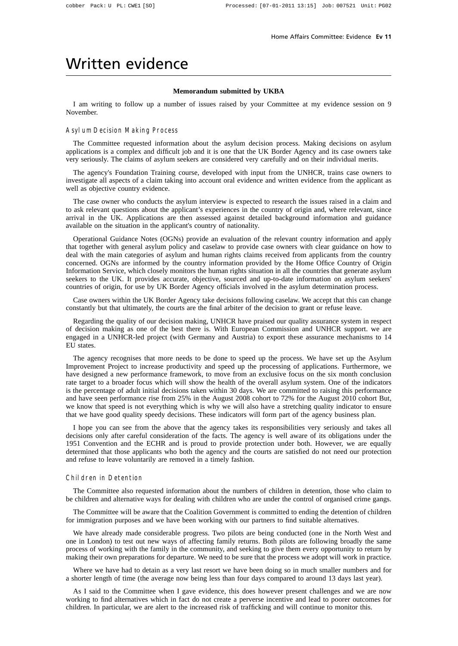## Written evidence

#### **Memorandum submitted by UKBA**

I am writing to follow up a number of issues raised by your Committee at my evidence session on 9 November.

#### Asylum Decision Making Process

The Committee requested information about the asylum decision process. Making decisions on asylum applications is a complex and difficult job and it is one that the UK Border Agency and its case owners take very seriously. The claims of asylum seekers are considered very carefully and on their individual merits.

The agency's Foundation Training course, developed with input from the UNHCR, trains case owners to investigate all aspects of a claim taking into account oral evidence and written evidence from the applicant as well as objective country evidence.

The case owner who conducts the asylum interview is expected to research the issues raised in a claim and to ask relevant questions about the applicant's experiences in the country of origin and, where relevant, since arrival in the UK. Applications are then assessed against detailed background information and guidance available on the situation in the applicant's country of nationality.

Operational Guidance Notes (OGNs) provide an evaluation of the relevant country information and apply that together with general asylum policy and caselaw to provide case owners with clear guidance on how to deal with the main categories of asylum and human rights claims received from applicants from the country concerned. OGNs are informed by the country information provided by the Home Office Country of Origin Information Service, which closely monitors the human rights situation in all the countries that generate asylum seekers to the UK. It provides accurate, objective, sourced and up-to-date information on asylum seekers' countries of origin, for use by UK Border Agency officials involved in the asylum determination process.

Case owners within the UK Border Agency take decisions following caselaw. We accept that this can change constantly but that ultimately, the courts are the final arbiter of the decision to grant or refuse leave.

Regarding the quality of our decision making, UNHCR have praised our quality assurance system in respect of decision making as one of the best there is. With European Commission and UNHCR support. we are engaged in a UNHCR-led project (with Germany and Austria) to export these assurance mechanisms to 14 EU states.

The agency recognises that more needs to be done to speed up the process. We have set up the Asylum Improvement Project to increase productivity and speed up the processing of applications. Furthermore, we have designed a new performance framework, to move from an exclusive focus on the six month conclusion rate target to a broader focus which will show the health of the overall asylum system. One of the indicators is the percentage of adult initial decisions taken within 30 days. We are committed to raising this performance and have seen performance rise from 25% in the August 2008 cohort to 72% for the August 2010 cohort But, we know that speed is not everything which is why we will also have a stretching quality indicator to ensure that we have good quality speedy decisions. These indicators will form part of the agency business plan.

I hope you can see from the above that the agency takes its responsibilities very seriously and takes all decisions only after careful consideration of the facts. The agency is well aware of its obligations under the 1951 Convention and the ECHR and is proud to provide protection under both. However, we are equally determined that those applicants who both the agency and the courts are satisfied do not need our protection and refuse to leave voluntarily are removed in a timely fashion.

#### Children in Detention

The Committee also requested information about the numbers of children in detention, those who claim to be children and alternative ways for dealing with children who are under the control of organised crime gangs.

The Committee will be aware that the Coalition Government is committed to ending the detention of children for immigration purposes and we have been working with our partners to find suitable alternatives.

We have already made considerable progress. Two pilots are being conducted (one in the North West and one in London) to test out new ways of affecting family returns. Both pilots are following broadly the same process of working with the family in the community, and seeking to give them every opportunity to return by making their own preparations for departure. We need to be sure that the process we adopt will work in practice.

Where we have had to detain as a very last resort we have been doing so in much smaller numbers and for a shorter length of time (the average now being less than four days compared to around 13 days last year).

As I said to the Committee when I gave evidence, this does however present challenges and we are now working to find alternatives which in fact do not create a perverse incentive and lead to poorer outcomes for children. In particular, we are alert to the increased risk of trafficking and will continue to monitor this.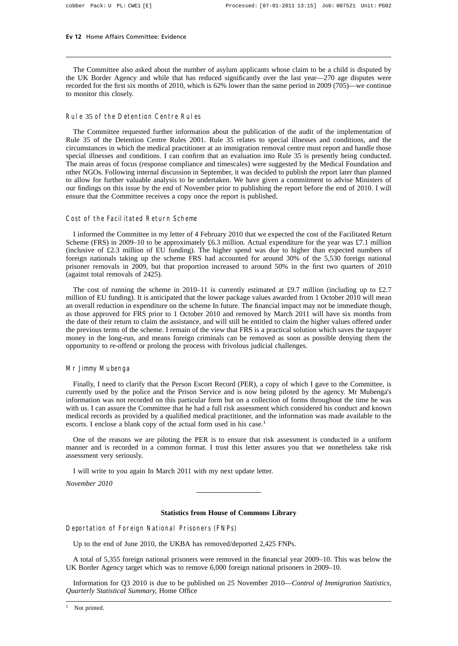The Committee also asked about the number of asylum applicants whose claim to be a child is disputed by the UK Border Agency and while that has reduced significantly over the last year—270 age disputes were recorded for the first six months of 2010, which is 62% lower than the same period in 2009 (705)—we continue to monitor this closely.

#### Rule 35 of the Detention Centre Rules

The Committee requested further information about the publication of the audit of the implementation of Rule 35 of the Detention Centre Rules 2001. Rule 35 relates to special illnesses and conditions, and the circumstances in which the medical practitioner at an immigration removal centre must report and handle those special illnesses and conditions. I can confirm that an evaluation into Rule 35 is presently being conducted. The main areas of focus (response compliance and timescales) were suggested by the Medical Foundation and other NGOs. Following internal discussion in September, it was decided to publish the report later than planned to allow for further valuable analysis to be undertaken. We have given a commitment to advise Ministers of our findings on this issue by the end of November prior to publishing the report before the end of 2010. I will ensure that the Committee receives a copy once the report is published.

#### Cost of the Facilitated Return Scheme

I informed the Committee in my letter of 4 February 2010 that we expected the cost of the Facilitated Return Scheme (FRS) in 2009–10 to be approximately £6.3 million. Actual expenditure for the year was £7.1 million (inclusive of £2.3 million of EU funding). The higher spend was due to higher than expected numbers of foreign nationals taking up the scheme FRS had accounted for around 30% of the 5,530 foreign national prisoner removals in 2009, but that proportion increased to around 50% in the first two quarters of 2010 (against total removals of 2425).

The cost of running the scheme in 2010–11 is currently estimated at £9.7 million (including up to £2.7 million of EU funding). It is anticipated that the lower package values awarded from 1 October 2010 will mean an overall reduction in expenditure on the scheme In future. The financial impact may not be immediate though, as those approved for FRS prior to 1 October 2010 and removed by March 2011 will have six months from the date of their return to claim the assistance, and will still be entitled to claim the higher values offered under the previous terms of the scheme. I remain of the view that FRS is a practical solution which saves the taxpayer money in the long-run, and means foreign criminals can be removed as soon as possible denying them the opportunity to re-offend or prolong the process with frivolous judicial challenges.

#### Mr Jimmy Mubenga

Finally, I need to clarify that the Person Escort Record (PER), a copy of which I gave to the Committee, is currently used by the police and the Prison Service and is now being piloted by the agency. Mr Mubenga's information was not recorded on this particular form but on a collection of forms throughout the time he was with us. I can assure the Committee that he had a full risk assessment which considered his conduct and known medical records as provided by a qualified medical practitioner, and the information was made available to the escorts. I enclose a blank copy of the actual form used in his case.<sup>1</sup>

One of the reasons we are piloting the PER is to ensure that risk assessment is conducted in a uniform manner and is recorded in a common format. I trust this letter assures you that we nonetheless take risk assessment very seriously.

I will write to you again In March 2011 with my next update letter.

*November 2010*

#### **Statistics from House of Commons Library**

#### Deportation of Foreign National Prisoners (FNPs)

Up to the end of June 2010, the UKBA has removed/deported 2,425 FNPs.

A total of 5,355 foreign national prisoners were removed in the financial year 2009–10. This was below the UK Border Agency target which was to remove 6,000 foreign national prisoners in 2009–10.

Information for Q3 2010 is due to be published on 25 November 2010—*Control of Immigration Statistics, Quarterly Statistical Summary*, Home Office

<sup>&</sup>lt;sup>1</sup> Not printed.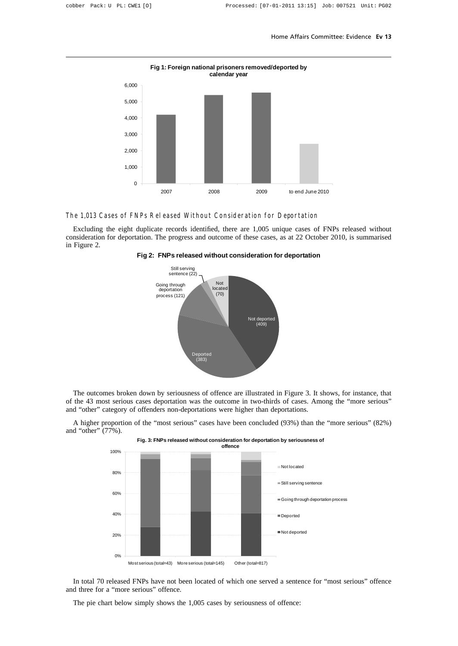

#### **Fig 1: Foreign national prisoners removed/deported by calendar year**

#### The 1,013 Cases of FNPs Released Without Consideration for Deportation

Excluding the eight duplicate records identified, there are 1,005 unique cases of FNPs released without consideration for deportation. The progress and outcome of these cases, as at 22 October 2010, is summarised in Figure 2.





The outcomes broken down by seriousness of offence are illustrated in Figure 3. It shows, for instance, that of the 43 most serious cases deportation was the outcome in two-thirds of cases. Among the "more serious" and "other" category of offenders non-deportations were higher than deportations.

A higher proportion of the "most serious" cases have been concluded (93%) than the "more serious" (82%) and "other" (77%).



In total 70 released FNPs have not been located of which one served a sentence for "most serious" offence and three for a "more serious" offence.

The pie chart below simply shows the 1,005 cases by seriousness of offence: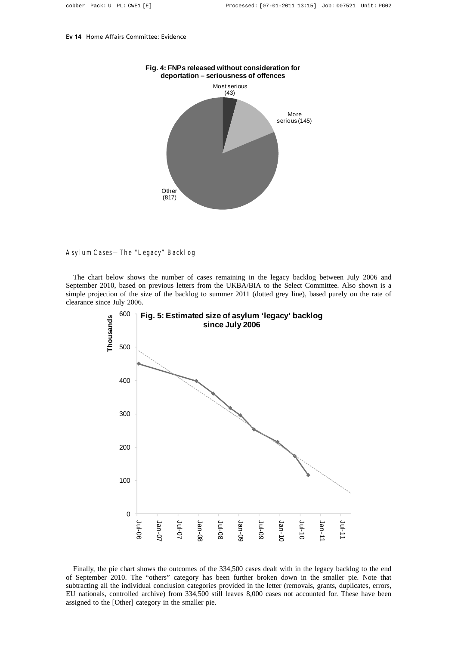

#### Asylum Cases—The "Legacy" Backlog

The chart below shows the number of cases remaining in the legacy backlog between July 2006 and September 2010, based on previous letters from the UKBA/BIA to the Select Committee. Also shown is a simple projection of the size of the backlog to summer 2011 (dotted grey line), based purely on the rate of clearance since July 2006.



Finally, the pie chart shows the outcomes of the 334,500 cases dealt with in the legacy backlog to the end of September 2010. The "others" category has been further broken down in the smaller pie. Note that subtracting all the individual conclusion categories provided in the letter (removals, grants, duplicates, errors, EU nationals, controlled archive) from 334,500 still leaves 8,000 cases not accounted for. These have been assigned to the [Other] category in the smaller pie.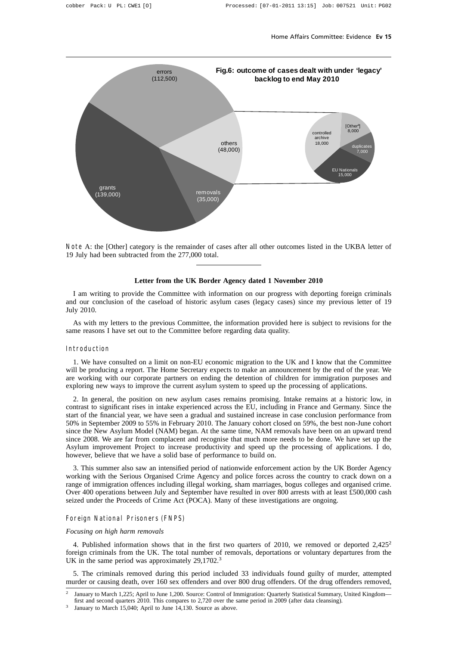

Note A: the [Other] category is the remainder of cases after all other outcomes listed in the UKBA letter of 19 July had been subtracted from the 277,000 total.

#### **Letter from the UK Border Agency dated 1 November 2010**

I am writing to provide the Committee with information on our progress with deporting foreign criminals and our conclusion of the caseload of historic asylum cases (legacy cases) since my previous letter of 19 July 2010.

As with my letters to the previous Committee, the information provided here is subject to revisions for the same reasons I have set out to the Committee before regarding data quality.

#### Introduction

1. We have consulted on a limit on non-EU economic migration to the UK and I know that the Committee will be producing a report. The Home Secretary expects to make an announcement by the end of the year. We are working with our corporate partners on ending the detention of children for immigration purposes and exploring new ways to improve the current asylum system to speed up the processing of applications.

2. In general, the position on new asylum cases remains promising. Intake remains at a historic low, in contrast to significant rises in intake experienced across the EU, including in France and Germany. Since the start of the financial year, we have seen a gradual and sustained increase in case conclusion performance from 50% in September 2009 to 55% in February 2010. The January cohort closed on 59%, the best non-June cohort since the New Asylum Model (NAM) began. At the same time, NAM removals have been on an upward trend since 2008. We are far from complacent and recognise that much more needs to be done. We have set up the Asylum improvement Project to increase productivity and speed up the processing of applications. I do, however, believe that we have a solid base of performance to build on.

3. This summer also saw an intensified period of nationwide enforcement action by the UK Border Agency working with the Serious Organised Crime Agency and police forces across the country to crack down on a range of immigration offences including illegal working, sham marriages, bogus colleges and organised crime. Over 400 operations between July and September have resulted in over 800 arrests with at least £500,000 cash seized under the Proceeds of Crime Act (POCA). Many of these investigations are ongoing.

#### Foreign National Prisoners (FNPS)

#### *Focusing on high harm removals*

4. Published information shows that in the first two quarters of 2010, we removed or deported  $2.425<sup>2</sup>$ foreign criminals from the UK. The total number of removals, deportations or voluntary departures from the UK in the same period was approximately 29,1702.<sup>3</sup>

5. The criminals removed during this period included 33 individuals found guilty of murder, attempted murder or causing death, over 160 sex offenders and over 800 drug offenders. Of the drug offenders removed,

<sup>2</sup> January to March 1,225; April to June 1,200. Source: Control of Immigration: Quarterly Statistical Summary, United Kingdom first and second quarters 2010. This compares to 2,720 over the same period in 2009 (after data cleansing).

January to March 15,040; April to June 14,130. Source as above.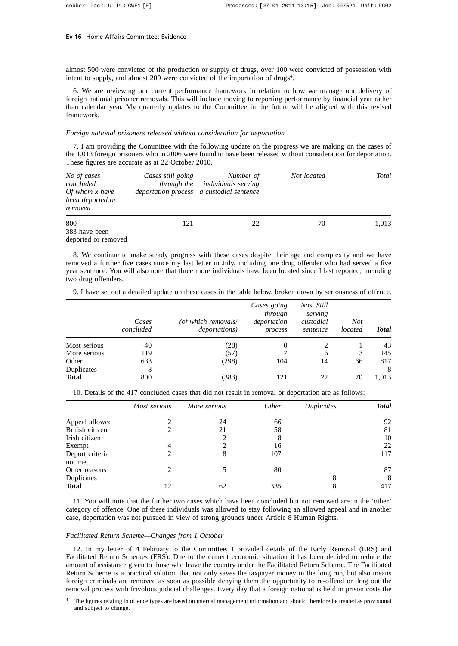almost 500 were convicted of the production or supply of drugs, over 100 were convicted of possession with intent to supply, and almost 200 were convicted of the importation of drugs<sup>4</sup>.

6. We are reviewing our current performance framework in relation to how we manage our delivery of foreign national prisoner removals. This will include moving to reporting performance by financial year rather than calendar year*.* My quarterly updates to the Committee in the future will be aligned with this revised framework.

#### *Foreign national prisoners released without consideration for deportation*

7. I am providing the Committee with the following update on the progress we are making on the cases of the 1,013 foreign prisoners who in 2006 were found to have been released without consideration for deportation. These figures are accurate as at 22 October 2010.

| No of cases<br>concluded<br>Of whom x have<br>been deported or<br>removed | Cases still going | Number of<br><i>through the individuals serving</i><br>deportation process a custodial sentence | Not located | <b>Total</b> |
|---------------------------------------------------------------------------|-------------------|-------------------------------------------------------------------------------------------------|-------------|--------------|
| 800<br>383 have been<br>deported or removed                               | 121               | 22                                                                                              | 70          | 1,013        |

8. We continue to make steady progress with these cases despite their age and complexity and we have removed a further five cases since my last letter in July, including one drug offender who had served a five year sentence. You will also note that three more individuals have been located since I last reported, including two drug offenders.

9. I have set out a detailed update on these cases in the table below, broken down by seriousness of offence.

|              | Cases<br>concluded | (of which removals/<br><i>deportations</i> ) | Cases going<br>through<br>deportation<br>process | Nos. Still<br>serving<br>custodial<br>sentence | Not<br>located | <b>Total</b> |
|--------------|--------------------|----------------------------------------------|--------------------------------------------------|------------------------------------------------|----------------|--------------|
| Most serious | 40                 | (28)                                         | $\theta$                                         |                                                |                | 43           |
| More serious | 119                | (57)                                         | 17                                               | 6                                              | 3              | 145          |
| Other        | 633                | (298)                                        | 104                                              | 14                                             | 66             | 817          |
| Duplicates   | 8                  |                                              |                                                  |                                                |                | 8            |
| <b>Total</b> | 800                | (383)                                        | 121                                              | 22                                             | 70             | 1,013        |

10. Details of the 417 concluded cases that did not result in removal or deportation are as follows:

|                            | Most serious                | More serious | <i>Other</i> | Duplicates | <b>Total</b> |
|----------------------------|-----------------------------|--------------|--------------|------------|--------------|
| Appeal allowed             |                             | 24           | 66           |            | 92           |
| British citizen            |                             | 21           | 58           |            | 81           |
| Irish citizen              |                             | 2            | 8            |            | 10           |
| Exempt                     | 4                           | റ            | 16           |            | 22           |
| Deport criteria<br>not met |                             | 8            | 107          |            | 117          |
| Other reasons              | $\mathcal{D}_{\mathcal{L}}$ |              | 80           |            | 87           |
| Duplicates                 |                             |              |              | 8          | 8            |
| <b>Total</b>               | 12                          | 62           | 335          |            | 417          |

11. You will note that the further two cases which have been concluded but not removed are in the 'other' category of offence. One of these individuals was allowed to stay following an allowed appeal and in another case, deportation was not pursued in view of strong grounds under Article 8 Human Rights.

#### *Facilitated Return Scheme—Changes from 1 October*

12. In my letter of 4 February to the Committee, I provided details of the Early Removal (ERS) and Facilitated Return Schemes (FRS). Due to the current economic situation it has been decided to reduce the amount of assistance given to those who leave the country under the Facilitated Return Scheme. The Facilitated Return Scheme is a practical solution that not only saves the taxpayer money in the long run, but also means foreign criminals are removed as soon as possible denying them the opportunity to re-offend or drag out the removal process with frivolous judicial challenges. Every day that a foreign national is held in prison costs the

The figures relating to offence types are based on internal management information and should therefore be treated as provisional and subject to change.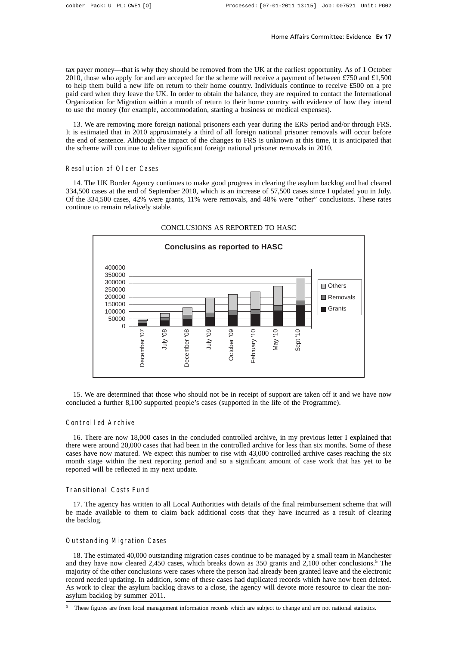tax payer money—that is why they should be removed from the UK at the earliest opportunity. As of 1 October 2010, those who apply for and are accepted for the scheme will receive a payment of between £750 and £1,500 to help them build a new life on return to their home country. Individuals continue to receive £500 on a pre paid card when they leave the UK. In order to obtain the balance, they are required to contact the International Organization for Migration within a month of return to their home country with evidence of how they intend to use the money (for example, accommodation, starting a business or medical expenses).

13. We are removing more foreign national prisoners each year during the ERS period and/or through FRS. It is estimated that in 2010 approximately a third of all foreign national prisoner removals will occur before the end of sentence. Although the impact of the changes to FRS is unknown at this time, it is anticipated that the scheme will continue to deliver significant foreign national prisoner removals in 2010.

#### Resolution of Older Cases

14. The UK Border Agency continues to make good progress in clearing the asylum backlog and had cleared 334,500 cases at the end of September 2010, which is an increase of 57,500 cases since I updated you in July. Of the 334,500 cases, 42% were grants, 11% were removals, and 48% were "other" conclusions. These rates continue to remain relatively stable.



#### CONCLUSIONS AS REPORTED TO HASC

15. We are determined that those who should not be in receipt of support are taken off it and we have now concluded a further 8,100 supported people's cases (supported in the life of the Programme).

#### Controlled Archive

16. There are now 18,000 cases in the concluded controlled archive, in my previous letter I explained that there were around 20,000 cases that had been in the controlled archive for less than six months. Some of these cases have now matured. We expect this number to rise with 43,000 controlled archive cases reaching the six month stage within the next reporting period and so a significant amount of case work that has yet to be reported will be reflected in my next update.

#### Transitional Costs Fund

17. The agency has written to all Local Authorities with details of the final reimbursement scheme that will be made available to them to claim back additional costs that they have incurred as a result of clearing the backlog.

#### Outstanding Migration Cases

18. The estimated 40,000 outstanding migration cases continue to be managed by a small team in Manchester and they have now cleared 2,450 cases, which breaks down as 350 grants and 2,100 other conclusions.<sup>5</sup> The majority of the other conclusions were cases where the person had already been granted leave and the electronic record needed updating. In addition, some of these cases had duplicated records which have now been deleted. As work to clear the asylum backlog draws to a close, the agency will devote more resource to clear the nonasylum backlog by summer 2011.

<sup>5</sup> These figures are from local management information records which are subject to change and are not national statistics.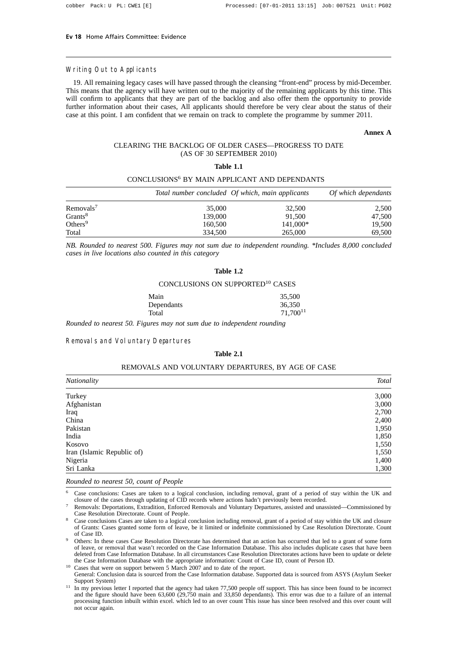#### Writing Out to Applicants

19. All remaining legacy cases will have passed through the cleansing "front-end" process by mid-December. This means that the agency will have written out to the majority of the remaining applicants by this time. This will confirm to applicants that they are part of the backlog and also offer them the opportunity to provide further information about their cases, All applicants should therefore be very clear about the status of their case at this point. I am confident that we remain on track to complete the programme by summer 2011.

#### **Annex A**

#### CLEARING THE BACKLOG OF OLDER CASES—PROGRESS TO DATE (AS OF 30 SEPTEMBER 2010)

#### **Table 1.1**

#### CONCLUSIONS6 BY MAIN APPLICANT AND DEPENDANTS

|                     |         | Total number concluded Of which, main applicants | Of which dependants |
|---------------------|---------|--------------------------------------------------|---------------------|
| Removals'           | 35,000  | 32,500                                           | 2,500               |
| Grants <sup>8</sup> | 139,000 | 91.500                                           | 47.500              |
| Others <sup>9</sup> | 160,500 | 141,000*                                         | 19.500              |
| Total               | 334,500 | 265,000                                          | 69,500              |

*NB. Rounded to nearest 500. Figures may not sum due to independent rounding. \*Includes 8,000 concluded cases in live locations also counted in this category*

#### **Table 1.2**

#### CONCLUSIONS ON SUPPORTED10 CASES

| Main       | 35,500        |
|------------|---------------|
| Dependants | 36.350        |
| Total      | $71,700^{11}$ |

*Rounded to nearest 50. Figures may not sum due to independent rounding*

#### Removals and Voluntary Departures

#### **Table 2.1**

#### REMOVALS AND VOLUNTARY DEPARTURES, BY AGE OF CASE

| <b>Nationality</b>         | <b>Total</b> |
|----------------------------|--------------|
| Turkey                     | 3,000        |
| Afghanistan                | 3,000        |
| Iraq                       | 2,700        |
| China                      | 2,400        |
| Pakistan                   | 1,950        |
| India                      | 1,850        |
| Kosovo                     | 1,550        |
| Iran (Islamic Republic of) | 1,550        |
| Nigeria                    | 1,400        |
| Sri Lanka                  | 1,300        |

*Rounded to nearest 50, count of People*

<sup>6</sup> Case conclusions: Cases are taken to a logical conclusion, including removal, grant of a period of stay within the UK and closure of the cases through updating of CID records where actions hadn't previously been recorded.

<sup>7</sup> Removals: Deportations, Extradition, Enforced Removals and Voluntary Departures, assisted and unassisted—Commissioned by Case Resolution Directorate. Count of People.

Case conclusions Cases are taken to a logical conclusion including removal, grant of a period of stay within the UK and closure of Grants: Cases granted some form of leave, be it limited or indefinite commissioned by Case Resolution Directorate. Count of Case ID.

<sup>9</sup> Others: In these cases Case Resolution Directorate has determined that an action has occurred that led to a grant of some form of leave, or removal that wasn't recorded on the Case Information Database. This also includes duplicate cases that have been deleted from Case Information Database. In all circumstances Case Resolution Directorates actions have been to update or delete the Case Information Database with the appropriate information: Count of Case ID, count of Person ID.

<sup>10</sup> Cases that were on support between 5 March 2007 and to date of the report.

General: Conclusion data is sourced from the Case Information database. Supported data is sourced from ASYS (Asylum Seeker Support System)

<sup>11</sup> In my previous letter I reported that the agency had taken 77,500 people off support. This has since been found to be incorrect and the figure should have been 63,600 (29,750 main and 33,850 dependants). This error was due to a failure of an internal processing function inbuilt within excel. which led to an over count This issue has since been resolved and this over count will not occur again.